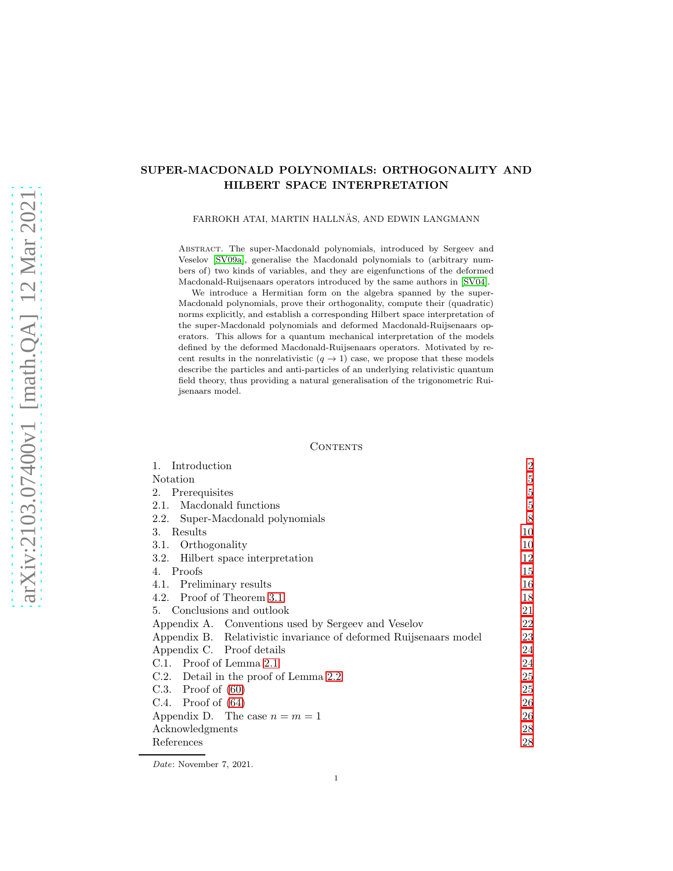# SUPER-MACDONALD POLYNOMIALS: ORTHOGONALITY AND HILBERT SPACE INTERPRETATION

### FARROKH ATAI, MARTIN HALLNÄS, AND EDWIN LANGMANN

Abstract. The super-Macdonald polynomials, introduced by Sergeev and Veselov [\[SV09a\]](#page-28-0), generalise the Macdonald polynomials to (arbitrary numbers of) two kinds of variables, and they are eigenfunctions of the deformed Macdonald-Ruijsenaars operators introduced by the same authors in [\[SV04\]](#page-28-1).

We introduce a Hermitian form on the algebra spanned by the super-Macdonald polynomials, prove their orthogonality, compute their (quadratic) norms explicitly, and establish a corresponding Hilbert space interpretation of the super-Macdonald polynomials and deformed Macdonald-Ruijsenaars operators. This allows for a quantum mechanical interpretation of the models defined by the deformed Macdonald-Ruijsenaars operators. Motivated by recent results in the nonrelativistic  $(q \rightarrow 1)$  case, we propose that these models describe the particles and anti-particles of an underlying relativistic quantum field theory, thus providing a natural generalisation of the trigonometric Ruijsenaars model.

### CONTENTS

| Introduction<br>1.                                                | $\boldsymbol{2}$ |
|-------------------------------------------------------------------|------------------|
| Notation                                                          | 5                |
| Prerequisites<br>2.                                               | 5                |
| Macdonald functions<br>2.1.                                       | $\bf 5$          |
| 2.2. Super-Macdonald polynomials                                  | 8                |
| 3.<br>Results                                                     | 10               |
| 3.1. Orthogonality                                                | 10               |
| 3.2. Hilbert space interpretation                                 | 12               |
| Proofs<br>4.                                                      | 15               |
| Preliminary results<br>4.1.                                       | 16               |
| 4.2. Proof of Theorem 3.1                                         | 18               |
| 5. Conclusions and outlook                                        | 21               |
| Appendix A. Conventions used by Sergeev and Veselov               | 22               |
| Appendix B. Relativistic invariance of deformed Ruijsenaars model | 23               |
| Appendix C. Proof details                                         | 24               |
| C.1. Proof of Lemma 2.1                                           | 24               |
| C.2. Detail in the proof of Lemma 2.2                             | 25               |
| C.3. Proof of $(60)$                                              | 25               |
| C.4. Proof of $(64)$                                              | 26               |
| Appendix D. The case $n = m = 1$                                  | 26               |
| Acknowledgments                                                   | 28               |
| References                                                        | 28               |

Date: November 7, 2021.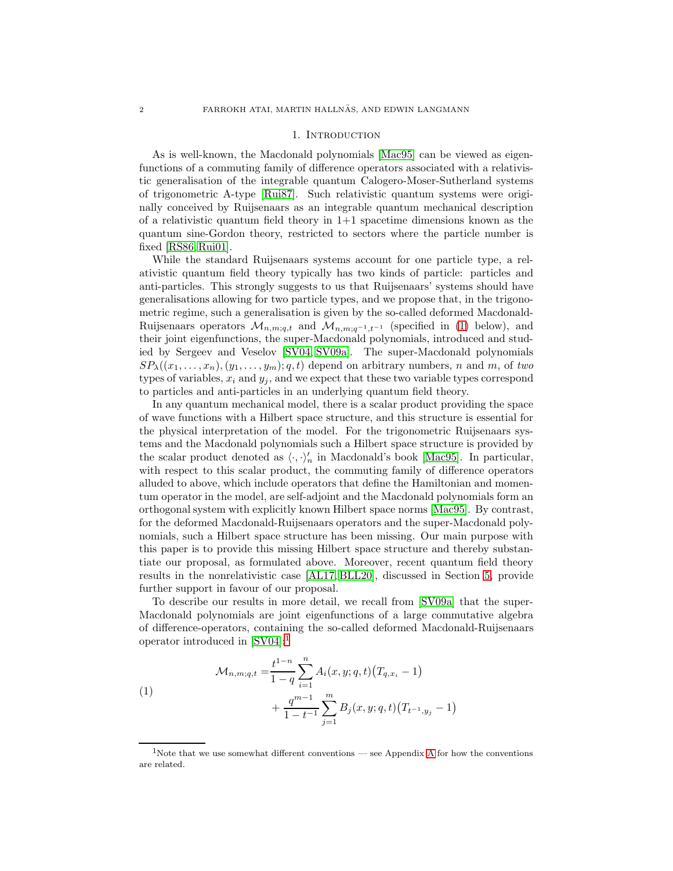#### 1. INTRODUCTION

<span id="page-1-0"></span>As is well-known, the Macdonald polynomials [\[Mac95\]](#page-28-2) can be viewed as eigenfunctions of a commuting family of difference operators associated with a relativistic generalisation of the integrable quantum Calogero-Moser-Sutherland systems of trigonometric A-type [\[Rui87\]](#page-28-3). Such relativistic quantum systems were originally conceived by Ruijsenaars as an integrable quantum mechanical description of a relativistic quantum field theory in  $1+1$  spacetime dimensions known as the quantum sine-Gordon theory, restricted to sectors where the particle number is fixed [\[RS86,](#page-28-4) [Rui01\]](#page-28-5).

While the standard Ruijsenaars systems account for one particle type, a relativistic quantum field theory typically has two kinds of particle: particles and anti-particles. This strongly suggests to us that Ruijsenaars' systems should have generalisations allowing for two particle types, and we propose that, in the trigonometric regime, such a generalisation is given by the so-called deformed Macdonald-Ruijsenaars operators  $\mathcal{M}_{n,m;q,t}$  and  $\mathcal{M}_{n,m;q-1,t-1}$  (specified in [\(1\)](#page-1-1) below), and their joint eigenfunctions, the super-Macdonald polynomials, introduced and studied by Sergeev and Veselov [\[SV04,](#page-28-1) [SV09a\]](#page-28-0). The super-Macdonald polynomials  $SP_{\lambda}((x_1, \ldots, x_n), (y_1, \ldots, y_m); q, t)$  depend on arbitrary numbers, n and m, of two types of variables,  $x_i$  and  $y_j$ , and we expect that these two variable types correspond to particles and anti-particles in an underlying quantum field theory.

In any quantum mechanical model, there is a scalar product providing the space of wave functions with a Hilbert space structure, and this structure is essential for the physical interpretation of the model. For the trigonometric Ruijsenaars systems and the Macdonald polynomials such a Hilbert space structure is provided by the scalar product denoted as  $\langle \cdot, \cdot \rangle_n'$  in Macdonald's book [\[Mac95\]](#page-28-2). In particular, with respect to this scalar product, the commuting family of difference operators alluded to above, which include operators that define the Hamiltonian and momentum operator in the model, are self-adjoint and the Macdonald polynomials form an orthogonal system with explicitly known Hilbert space norms [\[Mac95\]](#page-28-2). By contrast, for the deformed Macdonald-Ruijsenaars operators and the super-Macdonald polynomials, such a Hilbert space structure has been missing. Our main purpose with this paper is to provide this missing Hilbert space structure and thereby substantiate our proposal, as formulated above. Moreover, recent quantum field theory results in the nonrelativistic case [\[AL17,](#page-27-2) [BLL20\]](#page-27-3), discussed in Section [5,](#page-20-0) provide further support in favour of our proposal.

To describe our results in more detail, we recall from [\[SV09a\]](#page-28-0) that the super-Macdonald polynomials are joint eigenfunctions of a large commutative algebra of difference-operators, containing the so-called deformed Macdonald-Ruijsenaars operator introduced in [\[SV04\]](#page-28-1):[1](#page-1-2)

<span id="page-1-1"></span>(1)  

$$
\mathcal{M}_{n,m;q,t} = \frac{t^{1-n}}{1-q} \sum_{i=1}^{n} A_i(x,y;q,t) (T_{q,x_i} - 1)
$$

$$
+ \frac{q^{m-1}}{1-t^{-1}} \sum_{j=1}^{m} B_j(x,y;q,t) (T_{t^{-1},y_j} - 1)
$$

<span id="page-1-2"></span><sup>&</sup>lt;sup>1</sup>Note that we use somewhat different conventions — see [A](#page-21-0)ppendix A for how the conventions are related.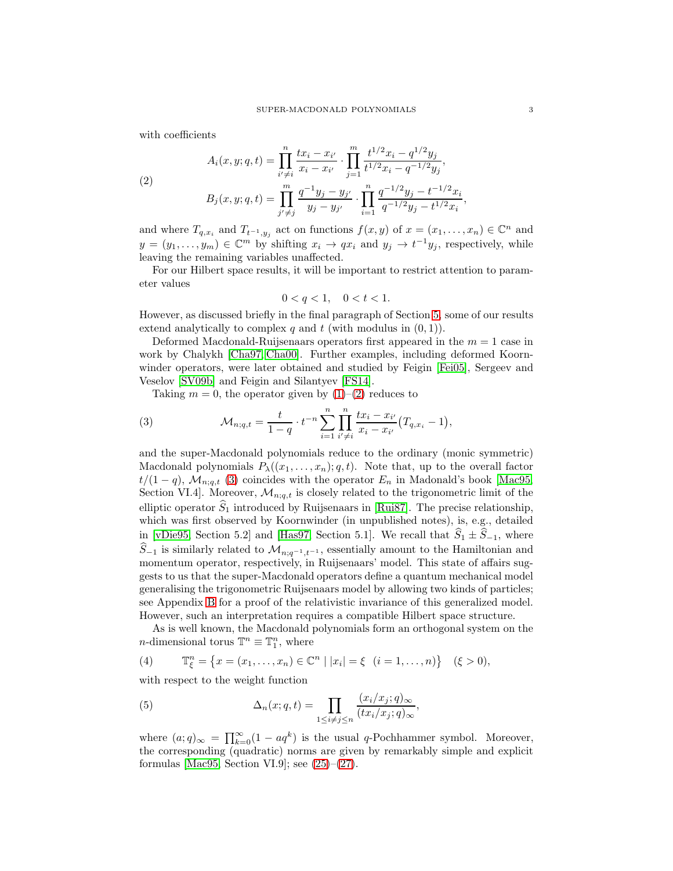<span id="page-2-0"></span>with coefficients

(2)  

$$
A_i(x, y; q, t) = \prod_{i' \neq i}^{n} \frac{tx_i - x_{i'}}{x_i - x_{i'}} \cdot \prod_{j=1}^{m} \frac{t^{1/2}x_i - q^{1/2}y_j}{t^{1/2}x_i - q^{-1/2}y_j},
$$

$$
B_j(x, y; q, t) = \prod_{j' \neq j}^{m} \frac{q^{-1}y_j - y_{j'}}{y_j - y_{j'}} \cdot \prod_{i=1}^{n} \frac{q^{-1/2}y_j - t^{-1/2}x_i}{q^{-1/2}y_j - t^{1/2}x_i},
$$

and where  $T_{q,x_i}$  and  $T_{t^{-1},y_j}$  act on functions  $f(x,y)$  of  $x = (x_1,\ldots,x_n) \in \mathbb{C}^n$  and  $y = (y_1, \ldots, y_m) \in \mathbb{C}^m$  by shifting  $x_i \to qx_i$  and  $y_j \to t^{-1}y_j$ , respectively, while leaving the remaining variables unaffected.

For our Hilbert space results, it will be important to restrict attention to parameter values

<span id="page-2-1"></span>
$$
0 < q < 1, \quad 0 < t < 1.
$$

However, as discussed briefly in the final paragraph of Section [5,](#page-20-0) some of our results extend analytically to complex q and t (with modulus in  $(0, 1)$ ).

Deformed Macdonald-Ruijsenaars operators first appeared in the  $m = 1$  case in work by Chalykh [\[Cha97,](#page-27-4) [Cha00\]](#page-27-5). Further examples, including deformed Koornwinder operators, were later obtained and studied by Feigin [\[Fei05\]](#page-28-6), Sergeev and Veselov [\[SV09b\]](#page-28-7) and Feigin and Silantyev [\[FS14\]](#page-28-8).

Taking  $m = 0$ , the operator given by  $(1)$ – $(2)$  reduces to

(3) 
$$
\mathcal{M}_{n;q,t} = \frac{t}{1-q} \cdot t^{-n} \sum_{i=1}^n \prod_{i' \neq i}^n \frac{tx_i - x_{i'}}{x_i - x_{i'}} (T_{q,x_i} - 1),
$$

and the super-Macdonald polynomials reduce to the ordinary (monic symmetric) Macdonald polynomials  $P_{\lambda}((x_1, \ldots, x_n); q, t)$ . Note that, up to the overall factor  $t/(1-q)$ ,  $\mathcal{M}_{n;q,t}$  [\(3\)](#page-2-1) coincides with the operator  $E_n$  in Madonald's book [\[Mac95,](#page-28-2) Section VI.4]. Moreover,  $\mathcal{M}_{n;q,t}$  is closely related to the trigonometric limit of the elliptic operator  $\widehat{S}_1$  introduced by Ruijsenaars in [\[Rui87\]](#page-28-3). The precise relationship, which was first observed by Koornwinder (in unpublished notes), is, e.g., detailed in [\[vDie95,](#page-28-9) Section 5.2] and [\[Has97,](#page-28-10) Section 5.1]. We recall that  $\hat{S}_1 \pm \hat{S}_{-1}$ , where  $\hat{S}_{-1}$  is similarly related to  $\mathcal{M}_{n;q^{-1},t^{-1}}$ , essentially amount to the Hamiltonian and momentum operator, respectively, in Ruijsenaars' model. This state of affairs suggests to us that the super-Macdonald operators define a quantum mechanical model generalising the trigonometric Ruijsenaars model by allowing two kinds of particles; see Appendix [B](#page-22-0) for a proof of the relativistic invariance of this generalized model. However, such an interpretation requires a compatible Hilbert space structure.

<span id="page-2-2"></span>As is well known, the Macdonald polynomials form an orthogonal system on the *n*-dimensional torus  $\mathbb{T}^n \equiv \mathbb{T}_1^n$ , where

(4)  $\mathbb{T}_{\xi}^{n} = \{x = (x_1, ..., x_n) \in \mathbb{C}^n \mid |x_i| = \xi \ (i = 1, ..., n)\} \ ( \xi > 0),$ 

<span id="page-2-3"></span>with respect to the weight function

(5) 
$$
\Delta_n(x;q,t) = \prod_{1 \leq i \neq j \leq n} \frac{(x_i/x_j;q)_\infty}{(tx_i/x_j;q)_\infty},
$$

where  $(a;q)_{\infty} = \prod_{k=0}^{\infty} (1 - aq^k)$  is the usual q-Pochhammer symbol. Moreover, the corresponding (quadratic) norms are given by remarkably simple and explicit formulas [\[Mac95,](#page-28-2) Section VI.9]; see  $(25)-(27)$  $(25)-(27)$ .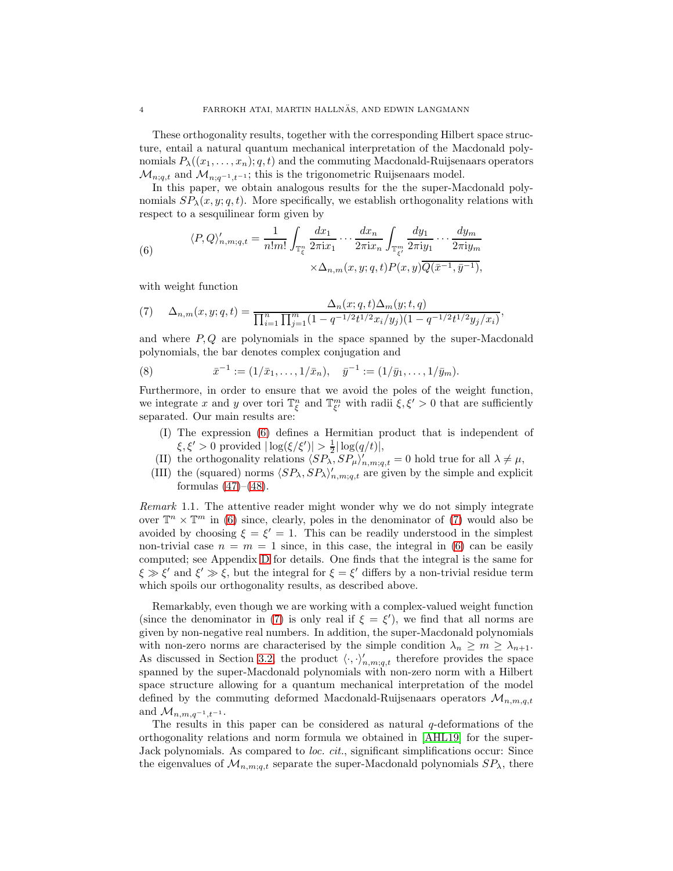These orthogonality results, together with the corresponding Hilbert space structure, entail a natural quantum mechanical interpretation of the Macdonald polynomials  $P_{\lambda}((x_1,\ldots,x_n); q, t)$  and the commuting Macdonald-Ruijsenaars operators  $\mathcal{M}_{n;q,t}$  and  $\mathcal{M}_{n;q^{-1},t^{-1}}$ ; this is the trigonometric Ruijsenaars model.

In this paper, we obtain analogous results for the the super-Macdonald polynomials  $SP_{\lambda}(x, y; q, t)$ . More specifically, we establish orthogonality relations with respect to a sesquilinear form given by

<span id="page-3-0"></span>(6) 
$$
\langle P, Q \rangle'_{n,m;q,t} = \frac{1}{n!m!} \int_{\mathbb{T}_{\xi}^{n}} \frac{dx_1}{2\pi i x_1} \cdots \frac{dx_n}{2\pi i x_n} \int_{\mathbb{T}_{\xi'}^{m}} \frac{dy_1}{2\pi i y_1} \cdots \frac{dy_m}{2\pi i y_m}
$$

$$
\times \Delta_{n,m}(x,y;q,t) P(x,y) \overline{Q(\bar{x}^{-1},\bar{y}^{-1})},
$$

<span id="page-3-1"></span>with weight function

(7) 
$$
\Delta_{n,m}(x,y;q,t) = \frac{\Delta_n(x;q,t)\Delta_m(y;t,q)}{\prod_{i=1}^n \prod_{j=1}^m (1-q^{-1/2}t^{1/2}x_i/y_j)(1-q^{-1/2}t^{1/2}y_j/x_i)},
$$

and where  $P, Q$  are polynomials in the space spanned by the super-Macdonald polynomials, the bar denotes complex conjugation and

(8) 
$$
\bar{x}^{-1} := (1/\bar{x}_1, \ldots, 1/\bar{x}_n), \quad \bar{y}^{-1} := (1/\bar{y}_1, \ldots, 1/\bar{y}_m).
$$

Furthermore, in order to ensure that we avoid the poles of the weight function, we integrate x and y over tori  $\mathbb{T}^n_{\xi}$  and  $\mathbb{T}^m_{\xi'}$  with radii  $\xi, \xi' > 0$  that are sufficiently separated. Our main results are:

- <span id="page-3-2"></span>(I) The expression [\(6\)](#page-3-0) defines a Hermitian product that is independent of  $\xi, \xi' > 0$  provided  $|\log(\xi/\xi')| > \frac{1}{2} |\log(q/t)|$ ,
- (II) the orthogonality relations  $\langle SP_{\lambda}, SP_{\mu} \rangle'_{n,m;q,t} = 0$  hold true for all  $\lambda \neq \mu$ ,
- (III) the (squared) norms  $\langle SP_\lambda, SP_\lambda \rangle'_{n,m;q,t}$  are given by the simple and explicit formulas  $(47)–(48)$  $(47)–(48)$ .

<span id="page-3-3"></span>Remark 1.1. The attentive reader might wonder why we do not simply integrate over  $\mathbb{T}^n \times \mathbb{T}^m$  in [\(6\)](#page-3-0) since, clearly, poles in the denominator of [\(7\)](#page-3-1) would also be avoided by choosing  $\xi = \xi' = 1$ . This can be readily understood in the simplest non-trivial case  $n = m = 1$  since, in this case, the integral in [\(6\)](#page-3-0) can be easily computed; see Appendix [D](#page-25-1) for details. One finds that the integral is the same for  $\xi \gg \xi'$  and  $\xi' \gg \xi$ , but the integral for  $\xi = \xi'$  differs by a non-trivial residue term which spoils our orthogonality results, as described above.

Remarkably, even though we are working with a complex-valued weight function (since the denominator in [\(7\)](#page-3-1) is only real if  $\xi = \xi'$ ), we find that all norms are given by non-negative real numbers. In addition, the super-Macdonald polynomials with non-zero norms are characterised by the simple condition  $\lambda_n \geq m \geq \lambda_{n+1}$ . As discussed in Section [3.2,](#page-11-0) the product  $\langle \cdot, \cdot \rangle'_{n,m;q,t}$  therefore provides the space spanned by the super-Macdonald polynomials with non-zero norm with a Hilbert space structure allowing for a quantum mechanical interpretation of the model defined by the commuting deformed Macdonald-Ruijsenaars operators  $\mathcal{M}_{n,m,q,t}$ and  $\mathcal{M}_{n,m,q^{-1},t^{-1}}$ .

The results in this paper can be considered as natural  $q$ -deformations of the orthogonality relations and norm formula we obtained in [\[AHL19\]](#page-27-6) for the super-Jack polynomials. As compared to loc. cit., significant simplifications occur: Since the eigenvalues of  $\mathcal{M}_{n,m;q,t}$  separate the super-Macdonald polynomials  $SP_{\lambda}$ , there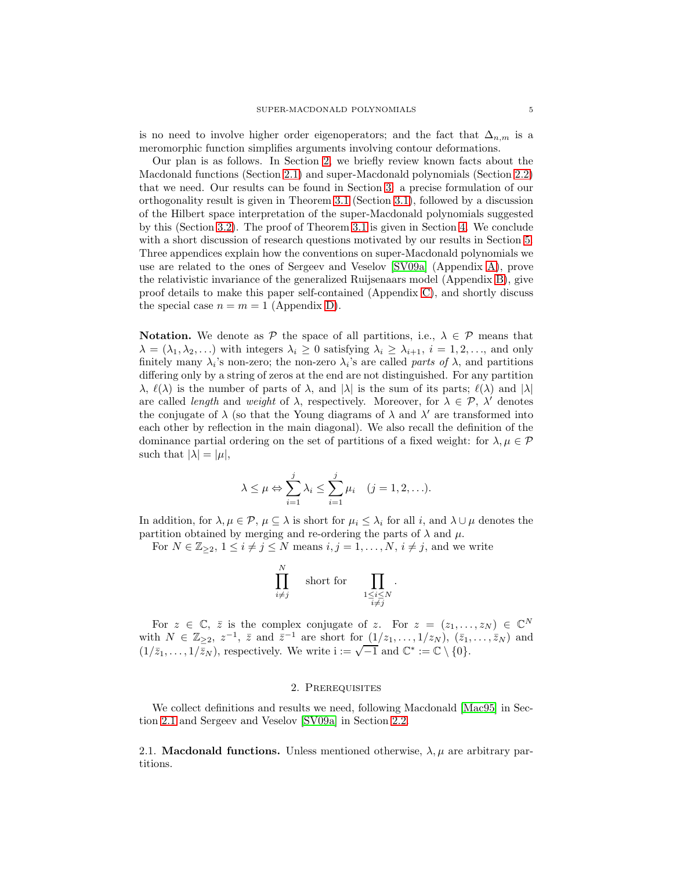is no need to involve higher order eigenoperators; and the fact that  $\Delta_{n,m}$  is a meromorphic function simplifies arguments involving contour deformations.

Our plan is as follows. In Section [2,](#page-4-1) we briefly review known facts about the Macdonald functions (Section [2.1\)](#page-4-2) and super-Macdonald polynomials (Section [2.2\)](#page-7-0) that we need. Our results can be found in Section [3:](#page-9-0) a precise formulation of our orthogonality result is given in Theorem [3.1](#page-10-0) (Section [3.1\)](#page-9-1), followed by a discussion of the Hilbert space interpretation of the super-Macdonald polynomials suggested by this (Section [3.2\)](#page-11-0). The proof of Theorem [3.1](#page-10-0) is given in Section [4.](#page-14-0) We conclude with a short discussion of research questions motivated by our results in Section [5.](#page-20-0) Three appendices explain how the conventions on super-Macdonald polynomials we use are related to the ones of Sergeev and Veselov [\[SV09a\]](#page-28-0) (Appendix [A\)](#page-21-0), prove the relativistic invariance of the generalized Ruijsenaars model (Appendix [B\)](#page-22-0), give proof details to make this paper self-contained (Appendix [C\)](#page-23-0), and shortly discuss the special case  $n = m = 1$  (Appendix [D\)](#page-25-1).

<span id="page-4-0"></span>**Notation.** We denote as  $P$  the space of all partitions, i.e.,  $\lambda \in P$  means that  $\lambda = (\lambda_1, \lambda_2, \ldots)$  with integers  $\lambda_i \geq 0$  satisfying  $\lambda_i \geq \lambda_{i+1}$ ,  $i = 1, 2, \ldots$ , and only finitely many  $\lambda_i$ 's non-zero; the non-zero  $\lambda_i$ 's are called parts of  $\lambda$ , and partitions differing only by a string of zeros at the end are not distinguished. For any partition  $\lambda$ ,  $\ell(\lambda)$  is the number of parts of  $\lambda$ , and  $|\lambda|$  is the sum of its parts;  $\ell(\lambda)$  and  $|\lambda|$ are called *length* and *weight* of  $\lambda$ , respectively. Moreover, for  $\lambda \in \mathcal{P}$ ,  $\lambda'$  denotes the conjugate of  $\lambda$  (so that the Young diagrams of  $\lambda$  and  $\lambda'$  are transformed into each other by reflection in the main diagonal). We also recall the definition of the dominance partial ordering on the set of partitions of a fixed weight: for  $\lambda, \mu \in \mathcal{P}$ such that  $|\lambda| = |\mu|$ ,

$$
\lambda \leq \mu \Leftrightarrow \sum_{i=1}^{j} \lambda_i \leq \sum_{i=1}^{j} \mu_i \quad (j = 1, 2, \ldots).
$$

In addition, for  $\lambda, \mu \in \mathcal{P}, \mu \subseteq \lambda$  is short for  $\mu_i \leq \lambda_i$  for all i, and  $\lambda \cup \mu$  denotes the partition obtained by merging and re-ordering the parts of  $\lambda$  and  $\mu$ .

For  $N \in \mathbb{Z}_{\geq 2}$ ,  $1 \leq i \neq j \leq N$  means  $i, j = 1, \ldots, N$ ,  $i \neq j$ , and we write

$$
\prod_{i \neq j}^{N} \quad \text{short for} \quad \prod_{\substack{1 \leq i \leq N \\ i \neq j}} \quad
$$

.

For  $z \in \mathbb{C}$ ,  $\overline{z}$  is the complex conjugate of z. For  $z = (z_1, \ldots, z_N) \in \mathbb{C}^N$ with  $N \in \mathbb{Z}_{\geq 2}$ ,  $z^{-1}$ ,  $\bar{z}$  and  $\bar{z}^{-1}$  are short for  $(1/z_1, \ldots, 1/z_N)$ ,  $(\bar{z}_1, \ldots, \bar{z}_N)$  and  $(1/\bar{z}_1, \ldots, 1/\bar{z}_N)$ , respectively. We write  $i := \sqrt{-1}$  and  $\mathbb{C}^* := \mathbb{C} \setminus \{0\}.$ 

### 2. Prerequisites

<span id="page-4-1"></span>We collect definitions and results we need, following Macdonald [\[Mac95\]](#page-28-2) in Section [2.1](#page-4-2) and Sergeev and Veselov [\[SV09a\]](#page-28-0) in Section [2.2.](#page-7-0)

<span id="page-4-2"></span>2.1. **Macdonald functions.** Unless mentioned otherwise,  $\lambda, \mu$  are arbitrary partitions.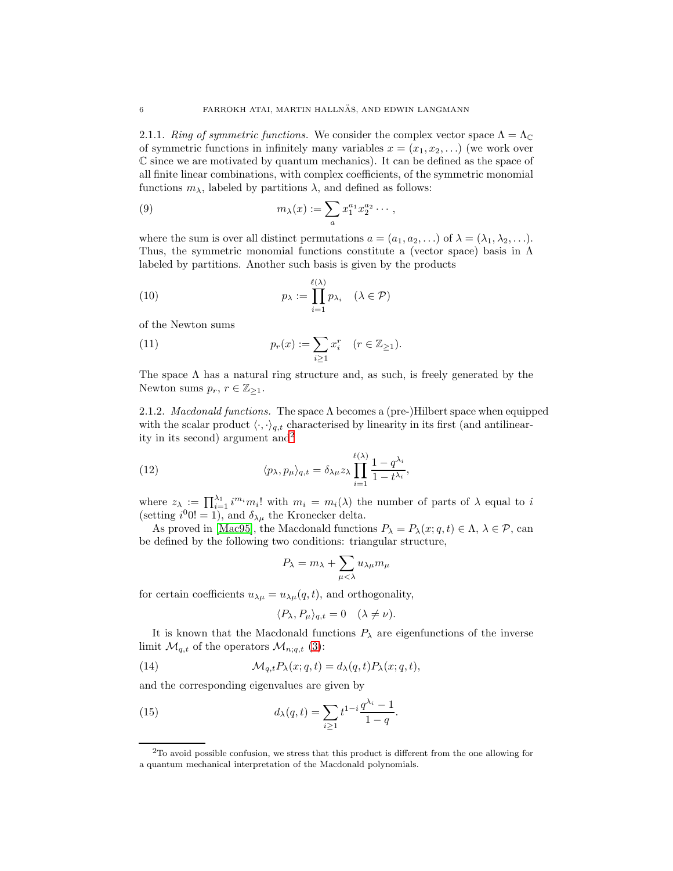2.1.1. Ring of symmetric functions. We consider the complex vector space  $\Lambda = \Lambda_{\mathbb{C}}$ of symmetric functions in infinitely many variables  $x = (x_1, x_2, \ldots)$  (we work over  $\mathbb C$  since we are motivated by quantum mechanics). It can be defined as the space of all finite linear combinations, with complex coefficients, of the symmetric monomial functions  $m_{\lambda}$ , labeled by partitions  $\lambda$ , and defined as follows:

<span id="page-5-3"></span>(9) 
$$
m_{\lambda}(x) := \sum_{a} x_1^{a_1} x_2^{a_2} \cdots,
$$

where the sum is over all distinct permutations  $a = (a_1, a_2, \ldots)$  of  $\lambda = (\lambda_1, \lambda_2, \ldots)$ . Thus, the symmetric monomial functions constitute a (vector space) basis in  $\Lambda$ labeled by partitions. Another such basis is given by the products

(10) 
$$
p_{\lambda} := \prod_{i=1}^{\ell(\lambda)} p_{\lambda_i} \quad (\lambda \in \mathcal{P})
$$

of the Newton sums

(11) 
$$
p_r(x) := \sum_{i \ge 1} x_i^r \quad (r \in \mathbb{Z}_{\ge 1}).
$$

The space  $\Lambda$  has a natural ring structure and, as such, is freely generated by the Newton sums  $p_r$ ,  $r \in \mathbb{Z}_{\geq 1}$ .

2.1.2. Macdonald functions. The space  $\Lambda$  becomes a (pre-)Hilbert space when equipped with the scalar product  $\langle \cdot, \cdot \rangle_{q,t}$  characterised by linearity in its first (and antilinearity in its second) argument and  $2^2$  $2^2$ 

(12) 
$$
\langle p_{\lambda}, p_{\mu} \rangle_{q,t} = \delta_{\lambda \mu} z_{\lambda} \prod_{i=1}^{\ell(\lambda)} \frac{1 - q^{\lambda_i}}{1 - t^{\lambda_i}},
$$

where  $z_{\lambda} := \prod_{i=1}^{\lambda_1} i^{m_i} m_i!$  with  $m_i = m_i(\lambda)$  the number of parts of  $\lambda$  equal to i (setting  $i^{0}0! = 1$ ), and  $\delta_{\lambda\mu}$  the Kronecker delta.

As proved in [\[Mac95\]](#page-28-2), the Macdonald functions  $P_{\lambda} = P_{\lambda}(x; q, t) \in \Lambda, \lambda \in \mathcal{P}$ , can be defined by the following two conditions: triangular structure,

$$
P_\lambda = m_\lambda + \sum_{\mu < \lambda} u_{\lambda \mu} m_\mu
$$

for certain coefficients  $u_{\lambda\mu} = u_{\lambda\mu}(q, t)$ , and orthogonality,

<span id="page-5-2"></span><span id="page-5-1"></span>
$$
\langle P_{\lambda}, P_{\mu} \rangle_{q,t} = 0 \quad (\lambda \neq \nu).
$$

It is known that the Macdonald functions  $P_{\lambda}$  are eigenfunctions of the inverse limit  $\mathcal{M}_{q,t}$  of the operators  $\mathcal{M}_{n;q,t}$  [\(3\)](#page-2-1):

(14) 
$$
\mathcal{M}_{q,t} P_{\lambda}(x;q,t) = d_{\lambda}(q,t) P_{\lambda}(x;q,t),
$$

and the corresponding eigenvalues are given by

(15) 
$$
d_{\lambda}(q,t) = \sum_{i \geq 1} t^{1-i} \frac{q^{\lambda_i} - 1}{1 - q}.
$$

<span id="page-5-0"></span><sup>&</sup>lt;sup>2</sup>To avoid possible confusion, we stress that this product is different from the one allowing for a quantum mechanical interpretation of the Macdonald polynomials.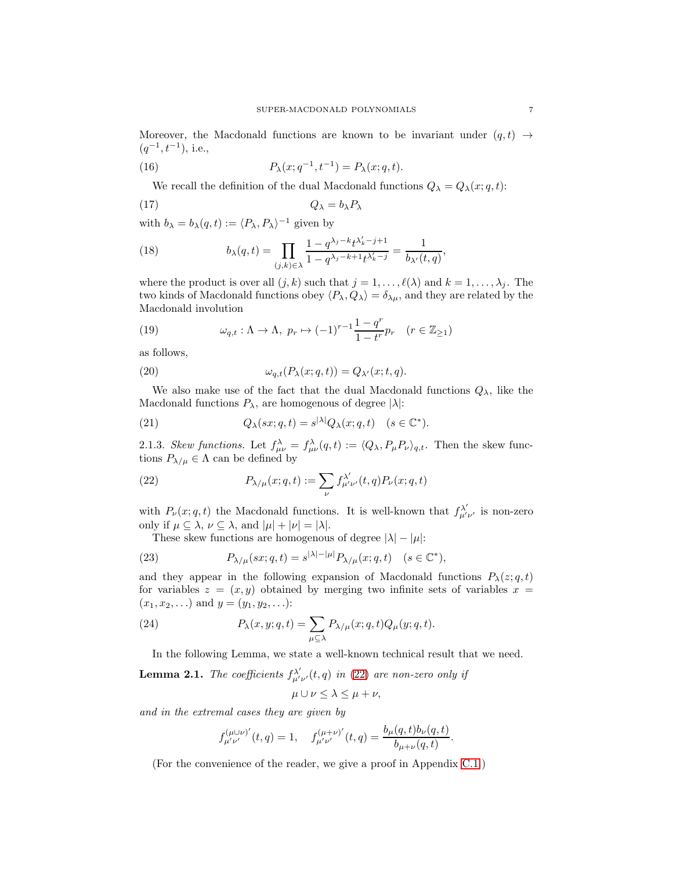<span id="page-6-2"></span>Moreover, the Macdonald functions are known to be invariant under  $(q, t) \rightarrow$  $(q^{-1}, t^{-1})$ , i.e.,

(16) 
$$
P_{\lambda}(x;q^{-1},t^{-1}) = P_{\lambda}(x;q,t).
$$

<span id="page-6-8"></span><span id="page-6-6"></span>We recall the definition of the dual Macdonald functions  $Q_{\lambda} = Q_{\lambda}(x; q, t)$ :

$$
(17) \t\t Q_{\lambda} = b_{\lambda} P_{\lambda}
$$

with  $b_{\lambda} = b_{\lambda}(q, t) := \langle P_{\lambda}, P_{\lambda} \rangle^{-1}$  given by

(18) 
$$
b_{\lambda}(q,t) = \prod_{(j,k)\in\lambda} \frac{1-q^{\lambda_j - k}t^{\lambda'_k - j + 1}}{1 - q^{\lambda_j - k + 1}t^{\lambda'_k - j}} = \frac{1}{b_{\lambda'}(t,q)},
$$

where the product is over all  $(j, k)$  such that  $j = 1, \ldots, \ell(\lambda)$  and  $k = 1, \ldots, \lambda_j$ . The two kinds of Macdonald functions obey  $\langle P_\lambda, Q_\lambda \rangle = \delta_{\lambda \mu}$ , and they are related by the Macdonald involution

<span id="page-6-9"></span>(19) 
$$
\omega_{q,t} : \Lambda \to \Lambda, \ p_r \mapsto (-1)^{r-1} \frac{1-q^r}{1-t^r} p_r \quad (r \in \mathbb{Z}_{\geq 1})
$$

<span id="page-6-4"></span>as follows,

(20) 
$$
\omega_{q,t}(P_{\lambda}(x;q,t)) = Q_{\lambda'}(x;t,q).
$$

We also make use of the fact that the dual Macdonald functions  $Q_{\lambda}$ , like the Macdonald functions  $P_{\lambda}$ , are homogenous of degree  $|\lambda|$ :

<span id="page-6-5"></span>(21) 
$$
Q_{\lambda}(sx;q,t) = s^{|\lambda|} Q_{\lambda}(x;q,t) \quad (s \in \mathbb{C}^*).
$$

<span id="page-6-1"></span>2.1.3. Skew functions. Let  $f_{\mu\nu}^{\lambda} = f_{\mu\nu}^{\lambda}(q,t) := \langle Q_{\lambda}, P_{\mu}P_{\nu} \rangle_{q,t}$ . Then the skew functions  $P_{\lambda/\mu} \in \Lambda$  can be defined by

(22) 
$$
P_{\lambda/\mu}(x;q,t) := \sum_{\nu} f^{\lambda'}_{\mu'\nu'}(t,q) P_{\nu}(x;q,t)
$$

with  $P_{\nu}(x; q, t)$  the Macdonald functions. It is well-known that  $f^{\lambda'}_{\mu'\nu'}$  is non-zero only if  $\mu \subseteq \lambda$ ,  $\nu \subseteq \lambda$ , and  $|\mu| + |\nu| = |\lambda|$ .

These skew functions are homogenous of degree  $|\lambda| - |\mu|$ :

(23) 
$$
P_{\lambda/\mu}(sx;q,t) = s^{|\lambda|-|\mu|} P_{\lambda/\mu}(x;q,t) \quad (s \in \mathbb{C}^*),
$$

and they appear in the following expansion of Macdonald functions  $P_\lambda(z; q, t)$ for variables  $z = (x, y)$  obtained by merging two infinite sets of variables  $x =$  $(x_1, x_2, \ldots)$  and  $y = (y_1, y_2, \ldots)$ :

(24) 
$$
P_{\lambda}(x, y; q, t) = \sum_{\mu \subseteq \lambda} P_{\lambda/\mu}(x; q, t) Q_{\mu}(y; q, t).
$$

In the following Lemma, we state a well-known technical result that we need.

<span id="page-6-0"></span>**Lemma 2.1.** The coefficients  $f^{\lambda'}_{\mu'\nu'}(t,q)$  in [\(22\)](#page-6-1) are non-zero only if

<span id="page-6-7"></span><span id="page-6-3"></span>
$$
\mu \cup \nu \leq \lambda \leq \mu + \nu,
$$

and in the extremal cases they are given by

$$
f_{\mu'\nu'}^{(\mu\cup\nu)'}(t,q) = 1, \quad f_{\mu'\nu'}^{(\mu+\nu)'}(t,q) = \frac{b_{\mu}(q,t)b_{\nu}(q,t)}{b_{\mu+\nu}(q,t)}.
$$

(For the convenience of the reader, we give a proof in Appendix [C.1.](#page-23-1))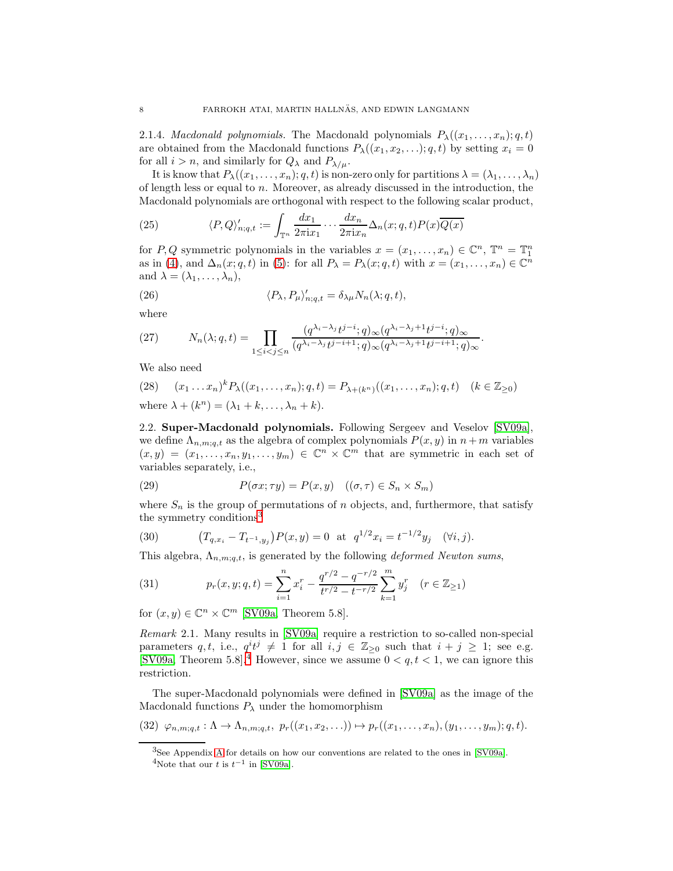2.1.4. *Macdonald polynomials*. The Macdonald polynomials  $P_{\lambda}((x_1, \ldots, x_n); q, t)$ are obtained from the Macdonald functions  $P_{\lambda}((x_1, x_2, \ldots); q, t)$  by setting  $x_i = 0$ for all  $i > n$ , and similarly for  $Q_{\lambda}$  and  $P_{\lambda/\mu}$ .

It is know that  $P_{\lambda}((x_1,\ldots,x_n); q, t)$  is non-zero only for partitions  $\lambda = (\lambda_1, \ldots, \lambda_n)$ of length less or equal to n. Moreover, as already discussed in the introduction, the Macdonald polynomials are orthogonal with respect to the following scalar product,

<span id="page-7-1"></span>(25) 
$$
\langle P, Q \rangle'_{n;q,t} := \int_{\mathbb{T}^n} \frac{dx_1}{2\pi i x_1} \cdots \frac{dx_n}{2\pi i x_n} \Delta_n(x;q,t) P(x) \overline{Q(x)}
$$

for P, Q symmetric polynomials in the variables  $x = (x_1, \ldots, x_n) \in \mathbb{C}^n$ ,  $\mathbb{T}^n = \mathbb{T}^n_1$ as in [\(4\)](#page-2-2), and  $\Delta_n(x; q, t)$  in [\(5\)](#page-2-3): for all  $P_\lambda = P_\lambda(x; q, t)$  with  $x = (x_1, \ldots, x_n) \in \mathbb{C}^n$ and  $\lambda = (\lambda_1, \ldots, \lambda_n),$ 

<span id="page-7-8"></span>(26) 
$$
\langle P_{\lambda}, P_{\mu} \rangle'_{n;q,t} = \delta_{\lambda \mu} N_n(\lambda;q,t),
$$

<span id="page-7-2"></span>where

(27) 
$$
N_n(\lambda;q,t) = \prod_{1 \leq i < j \leq n} \frac{(q^{\lambda_i - \lambda_j} t^{j-i}; q) \infty (q^{\lambda_i - \lambda_j + 1} t^{j-i}; q) \infty}{(q^{\lambda_i - \lambda_j} t^{j-i+1}; q) \infty (q^{\lambda_i - \lambda_j + 1} t^{j-i+1}; q) \infty}.
$$

<span id="page-7-9"></span>We also need

(28) 
$$
(x_1 \dots x_n)^k P_\lambda((x_1, \dots, x_n); q, t) = P_{\lambda + (k^n)}((x_1, \dots, x_n); q, t)
$$
  $(k \in \mathbb{Z}_{\ge 0})$   
where  $\lambda + (k^n) = (\lambda_1 + k, \dots, \lambda_n + k)$ .

<span id="page-7-0"></span>2.2. Super-Macdonald polynomials. Following Sergeev and Veselov [\[SV09a\]](#page-28-0), we define  $\Lambda_{n,m;q,t}$  as the algebra of complex polynomials  $P(x, y)$  in  $n + m$  variables  $(x, y) = (x_1, \ldots, x_n, y_1, \ldots, y_m) \in \mathbb{C}^n \times \mathbb{C}^m$  that are symmetric in each set of variables separately, i.e.,

<span id="page-7-6"></span>(29) 
$$
P(\sigma x; \tau y) = P(x, y) \quad ((\sigma, \tau) \in S_n \times S_m)
$$

<span id="page-7-7"></span>where  $S_n$  is the group of permutations of n objects, and, furthermore, that satisfy the symmetry conditions<sup>[3](#page-7-3)</sup>

(30) 
$$
(T_{q,x_i} - T_{t^{-1},y_j})P(x,y) = 0 \text{ at } q^{1/2}x_i = t^{-1/2}y_j \quad (\forall i,j).
$$

This algebra,  $\Lambda_{n,m;q,t}$ , is generated by the following *deformed Newton sums*,

<span id="page-7-5"></span>(31) 
$$
p_r(x, y; q, t) = \sum_{i=1}^n x_i^r - \frac{q^{r/2} - q^{-r/2}}{t^{r/2} - t^{-r/2}} \sum_{k=1}^m y_j^r \quad (r \in \mathbb{Z}_{\ge 1})
$$

for  $(x, y) \in \mathbb{C}^n \times \mathbb{C}^m$  [\[SV09a,](#page-28-0) Theorem 5.8].

Remark 2.1. Many results in [\[SV09a\]](#page-28-0) require a restriction to so-called non-special parameters q, t, i.e.,  $q^i t^j \neq 1$  for all  $i, j \in \mathbb{Z}_{\geq 0}$  such that  $i + j \geq 1$ ; see e.g. [\[SV09a,](#page-28-0) Theorem 5.8].<sup>[4](#page-7-4)</sup> However, since we assume  $0 < q, t < 1$ , we can ignore this restriction.

The super-Macdonald polynomials were defined in [\[SV09a\]](#page-28-0) as the image of the Macdonald functions  $P_{\lambda}$  under the homomorphism

(32) 
$$
\varphi_{n,m;q,t} : \Lambda \to \Lambda_{n,m;q,t}, p_r((x_1,x_2,\ldots)) \mapsto p_r((x_1,\ldots,x_n),(y_1,\ldots,y_m);q,t).
$$

<span id="page-7-10"></span><span id="page-7-4"></span><span id="page-7-3"></span><sup>3</sup>See Appendix [A](#page-21-0) for details on how our conventions are related to the ones in [\[SV09a\]](#page-28-0). <sup>4</sup>Note that our t is  $t^{-1}$  in [\[SV09a\]](#page-28-0).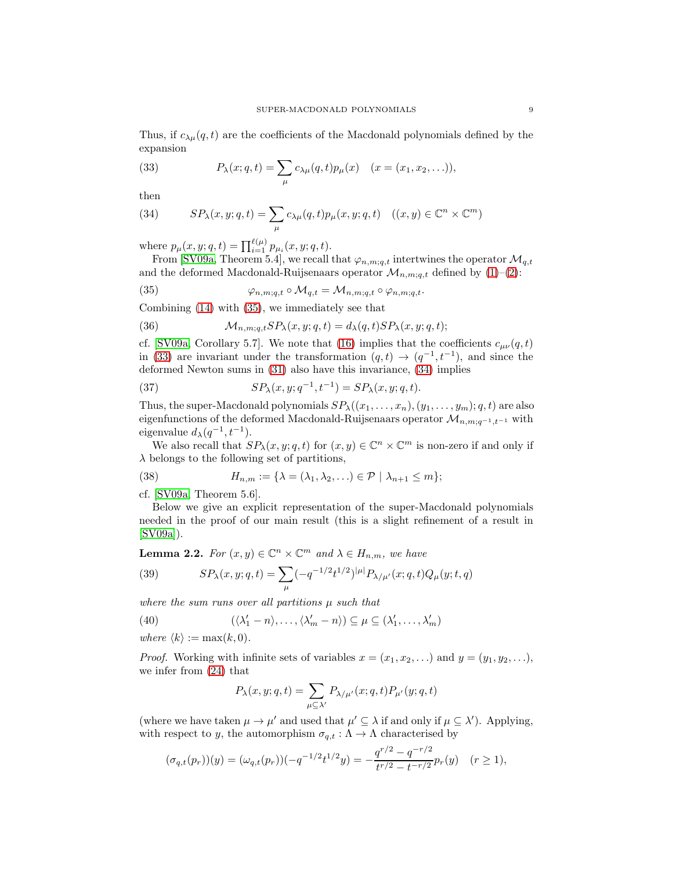<span id="page-8-2"></span>Thus, if  $c_{\lambda\mu}(q,t)$  are the coefficients of the Macdonald polynomials defined by the expansion

(33) 
$$
P_{\lambda}(x;q,t) = \sum_{\mu} c_{\lambda\mu}(q,t) p_{\mu}(x) \quad (x = (x_1, x_2,...)),
$$

<span id="page-8-3"></span>then

(34) 
$$
SP_{\lambda}(x, y; q, t) = \sum_{\mu} c_{\lambda \mu}(q, t) p_{\mu}(x, y; q, t) \quad ((x, y) \in \mathbb{C}^n \times \mathbb{C}^m)
$$

where  $p_{\mu}(x, y; q, t) = \prod_{i=1}^{\ell(\mu)} p_{\mu_i}(x, y; q, t)$ .

From [\[SV09a,](#page-28-0) Theorem 5.4], we recall that  $\varphi_{n,m;q,t}$  intertwines the operator  $\mathcal{M}_{q,t}$ and the deformed Macdonald-Ruijsenaars operator  $\mathcal{M}_{n,m;q,t}$  defined by [\(1\)](#page-1-1)–[\(2\)](#page-2-0):

<span id="page-8-1"></span>(35) 
$$
\varphi_{n,m;q,t} \circ \mathcal{M}_{q,t} = \mathcal{M}_{n,m;q,t} \circ \varphi_{n,m;q,t}.
$$

<span id="page-8-5"></span>Combining [\(14\)](#page-5-1) with [\(35\)](#page-8-1), we immediately see that

(36) 
$$
\mathcal{M}_{n,m;q,t}SP_{\lambda}(x,y;q,t) = d_{\lambda}(q,t)SP_{\lambda}(x,y;q,t);
$$

cf. [\[SV09a,](#page-28-0) Corollary 5.7]. We note that [\(16\)](#page-6-2) implies that the coefficients  $c_{\mu\nu}(q,t)$ in [\(33\)](#page-8-2) are invariant under the transformation  $(q,t) \rightarrow (q^{-1}, t^{-1})$ , and since the deformed Newton sums in [\(31\)](#page-7-5) also have this invariance, [\(34\)](#page-8-3) implies

<span id="page-8-6"></span>(37) 
$$
SP_{\lambda}(x, y; q^{-1}, t^{-1}) = SP_{\lambda}(x, y; q, t).
$$

Thus, the super-Macdonald polynomials  $SP_{\lambda}((x_1, \ldots, x_n), (y_1, \ldots, y_m); q, t)$  are also eigenfunctions of the deformed Macdonald-Ruijsenaars operator  $\mathcal{M}_{n,m;q^{-1},t^{-1}}$  with eigenvalue  $d_{\lambda}(q^{-1}, t^{-1})$ .

We also recall that  $SP_{\lambda}(x, y; q, t)$  for  $(x, y) \in \mathbb{C}^{n} \times \mathbb{C}^{m}$  is non-zero if and only if  $\lambda$  belongs to the following set of partitions,

(38) 
$$
H_{n,m} := \{ \lambda = (\lambda_1, \lambda_2, \ldots) \in \mathcal{P} \mid \lambda_{n+1} \leq m \};
$$

cf. [\[SV09a,](#page-28-0) Theorem 5.6].

Below we give an explicit representation of the super-Macdonald polynomials needed in the proof of our main result (this is a slight refinement of a result in  $[SV09a]$ ).

<span id="page-8-0"></span>**Lemma 2.2.** For  $(x, y) \in \mathbb{C}^n \times \mathbb{C}^m$  and  $\lambda \in H_{n,m}$ , we have

(39) 
$$
SP_{\lambda}(x, y; q, t) = \sum_{\mu} (-q^{-1/2}t^{1/2})^{|\mu|} P_{\lambda/\mu'}(x; q, t) Q_{\mu}(y; t, q)
$$

where the sum runs over all partitions  $\mu$  such that

(40) 
$$
(\langle \lambda'_1 - n \rangle, \ldots, \langle \lambda'_m - n \rangle) \subseteq \mu \subseteq (\lambda'_1, \ldots, \lambda'_m)
$$

where  $\langle k \rangle := \max(k, 0)$ .

*Proof.* Working with infinite sets of variables  $x = (x_1, x_2, \ldots)$  and  $y = (y_1, y_2, \ldots)$ , we infer from [\(24\)](#page-6-3) that

<span id="page-8-7"></span><span id="page-8-4"></span>
$$
P_\lambda(x,y;q,t)=\sum_{\mu\subseteq\lambda'}P_{\lambda/\mu'}(x;q,t)P_{\mu'}(y;q,t)
$$

(where we have taken  $\mu \to \mu'$  and used that  $\mu' \subseteq \lambda$  if and only if  $\mu \subseteq \lambda'$ ). Applying, with respect to y, the automorphism  $\sigma_{q,t} : \Lambda \to \Lambda$  characterised by

$$
(\sigma_{q,t}(p_r))(y) = (\omega_{q,t}(p_r))(-q^{-1/2}t^{1/2}y) = -\frac{q^{r/2} - q^{-r/2}}{t^{r/2} - t^{-r/2}}p_r(y) \quad (r \ge 1),
$$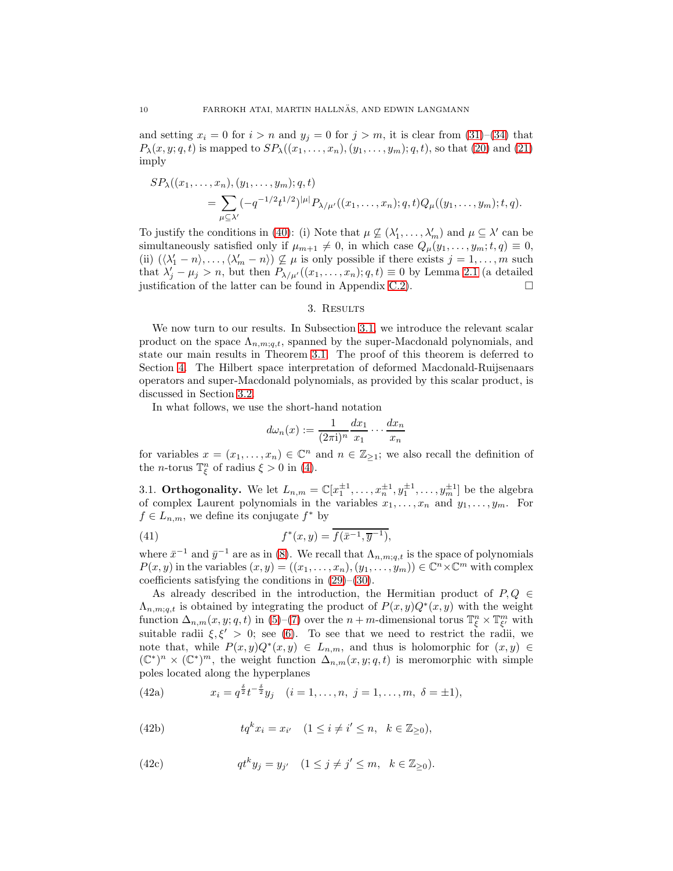and setting  $x_i = 0$  for  $i > n$  and  $y_j = 0$  for  $j > m$ , it is clear from [\(31\)](#page-7-5)–[\(34\)](#page-8-3) that  $P_{\lambda}(x, y; q, t)$  is mapped to  $SP_{\lambda}((x_1, \ldots, x_n), (y_1, \ldots, y_m); q, t)$ , so that [\(20\)](#page-6-4) and [\(21\)](#page-6-5) imply

$$
SP_{\lambda}((x_1,\ldots,x_n),(y_1,\ldots,y_m);q,t)
$$
  
= 
$$
\sum_{\mu\subseteq \lambda'}(-q^{-1/2}t^{1/2})^{|\mu|}P_{\lambda/\mu'}((x_1,\ldots,x_n);q,t)Q_{\mu}((y_1,\ldots,y_m);t,q).
$$

To justify the conditions in [\(40\)](#page-8-4): (i) Note that  $\mu \not\subseteq (\lambda'_1, \ldots, \lambda'_m)$  and  $\mu \subseteq \lambda'$  can be simultaneously satisfied only if  $\mu_{m+1} \neq 0$ , in which case  $Q_{\mu}(y_1, \ldots, y_m; t, q) \equiv 0$ , (ii)  $(\lambda'_1 - n), \ldots, (\lambda'_m - n) \nsubseteq \mu$  is only possible if there exists  $j = 1, \ldots, m$  such that  $\lambda'_j - \mu_j > n$ , but then  $P_{\lambda/\mu'}((x_1, \ldots, x_n); q, t) \equiv 0$  by Lemma [2.1](#page-6-0) (a detailed justification of the latter can be found in Appendix [C.2\)](#page-24-0).  $\Box$ 

### 3. Results

<span id="page-9-0"></span>We now turn to our results. In Subsection [3.1,](#page-9-1) we introduce the relevant scalar product on the space  $\Lambda_{n,m;a,t}$ , spanned by the super-Macdonald polynomials, and state our main results in Theorem [3.1.](#page-10-0) The proof of this theorem is deferred to Section [4.](#page-14-0) The Hilbert space interpretation of deformed Macdonald-Ruijsenaars operators and super-Macdonald polynomials, as provided by this scalar product, is discussed in Section [3.2.](#page-11-0)

In what follows, we use the short-hand notation

<span id="page-9-4"></span>
$$
d\omega_n(x) := \frac{1}{(2\pi i)^n} \frac{dx_1}{x_1} \cdots \frac{dx_n}{x_n}
$$

for variables  $x = (x_1, \ldots, x_n) \in \mathbb{C}^n$  and  $n \in \mathbb{Z}_{\geq 1}$ ; we also recall the definition of the *n*-torus  $\mathbb{T}_{\xi}^{n}$  of radius  $\xi > 0$  in [\(4\)](#page-2-2).

<span id="page-9-1"></span>3.1. **Orthogonality.** We let  $L_{n,m} = \mathbb{C}[x_1^{\pm 1}, \dots, x_n^{\pm 1}, y_1^{\pm 1}, \dots, y_m^{\pm 1}]$  be the algebra of complex Laurent polynomials in the variables  $x_1, \ldots, x_n$  and  $y_1, \ldots, y_m$ . For  $f \in L_{n,m}$ , we define its conjugate  $f^*$  by

(41) 
$$
f^*(x,y) = \overline{f(\bar{x}^{-1}, \bar{y}^{-1})},
$$

where  $\bar{x}^{-1}$  and  $\bar{y}^{-1}$  are as in [\(8\)](#page-3-2). We recall that  $\Lambda_{n,m;q,t}$  is the space of polynomials  $P(x, y)$  in the variables  $(x, y) = ((x_1, \ldots, x_n), (y_1, \ldots, y_m)) \in \mathbb{C}^n \times \mathbb{C}^m$  with complex coefficients satisfying the conditions in [\(29\)](#page-7-6)–[\(30\)](#page-7-7).

As already described in the introduction, the Hermitian product of  $P, Q \in$  $\Lambda_{n,m;q,t}$  is obtained by integrating the product of  $P(x,y)Q^*(x,y)$  with the weight function  $\Delta_{n,m}(x,y;q,t)$  in [\(5\)](#page-2-3)–[\(7\)](#page-3-1) over the  $n+m$ -dimensional torus  $\mathbb{T}^n_{\xi} \times \mathbb{T}^m_{\xi'}$  with suitable radii  $\xi, \xi' > 0$ ; see [\(6\)](#page-3-0). To see that we need to restrict the radii, we note that, while  $P(x, y)Q^*(x, y) \in L_{n,m}$ , and thus is holomorphic for  $(x, y) \in L_{n,m}$  $(\mathbb{C}^*)^n \times (\mathbb{C}^*)^m$ , the weight function  $\Delta_{n,m}(x,y;q,t)$  is meromorphic with simple poles located along the hyperplanes

<span id="page-9-2"></span>(42a) 
$$
x_i = q^{\frac{\delta}{2}} t^{-\frac{\delta}{2}} y_j \quad (i = 1, ..., n, j = 1, ..., m, \delta = \pm 1),
$$

(42b) 
$$
tq^k x_i = x_{i'} \quad (1 \leq i \neq i' \leq n, \quad k \in \mathbb{Z}_{\geq 0}),
$$

<span id="page-9-3"></span>(42c) 
$$
qt^k y_j = y_{j'} \quad (1 \le j \ne j' \le m, \ k \in \mathbb{Z}_{\ge 0}).
$$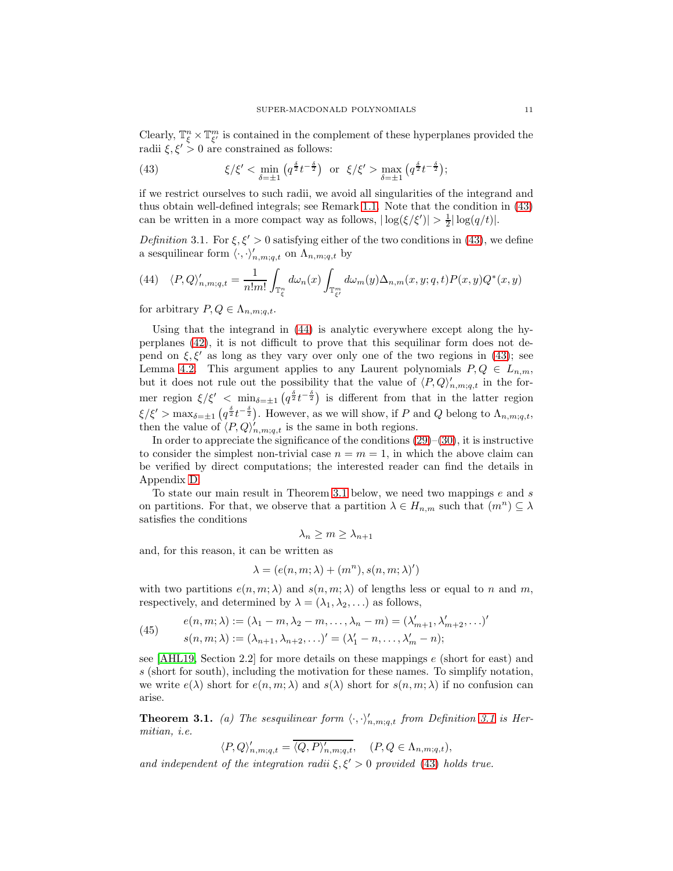Clearly,  $\mathbb{T}^n_\xi \times \mathbb{T}^m_{\xi'}$  is contained in the complement of these hyperplanes provided the radii  $\xi, \xi' > 0$  are constrained as follows:

<span id="page-10-1"></span>(43) 
$$
\xi/\xi' < \min_{\delta=\pm 1} \left( q^{\frac{\delta}{2}} t^{-\frac{\delta}{2}} \right) \text{ or } \xi/\xi' > \max_{\delta=\pm 1} \left( q^{\frac{\delta}{2}} t^{-\frac{\delta}{2}} \right);
$$

if we restrict ourselves to such radii, we avoid all singularities of the integrand and thus obtain well-defined integrals; see Remark [1.1.](#page-3-3) Note that the condition in [\(43\)](#page-10-1) can be written in a more compact way as follows,  $|\log(\xi/\xi')| > \frac{1}{2} |\log(q/t)|$ .

<span id="page-10-3"></span>Definition 3.1. For  $\xi, \xi' > 0$  satisfying either of the two conditions in [\(43\)](#page-10-1), we define a sesquilinear form  $\langle \cdot, \cdot \rangle'_{n,m;q,t}$  on  $\Lambda_{n,m;q,t}$  by

<span id="page-10-2"></span>(44) 
$$
\langle P, Q \rangle'_{n,m;q,t} = \frac{1}{n!m!} \int_{\mathbb{T}^n_{\xi}} d\omega_n(x) \int_{\mathbb{T}^m_{\xi'}} d\omega_m(y) \Delta_{n,m}(x,y;q,t) P(x,y) Q^*(x,y)
$$

for arbitrary  $P, Q \in \Lambda_{n,m;a,t}$ .

Using that the integrand in [\(44\)](#page-10-2) is analytic everywhere except along the hyperplanes [\(42\)](#page-9-2), it is not difficult to prove that this sequilinar form does not depend on  $\xi, \xi'$  as long as they vary over only one of the two regions in [\(43\)](#page-10-1); see Lemma [4.2.](#page-15-1) This argument applies to any Laurent polynomials  $P, Q \in L_{n,m}$ , but it does not rule out the possibility that the value of  $\langle P, Q \rangle'_{n,m;q,t}$  in the former region  $\xi/\xi'$  < min<sub> $\delta=\pm 1$ </sub>  $(q^{\frac{\delta}{2}}t^{-\frac{\delta}{2}})$  is different from that in the latter region  $\xi/\xi' > \max_{\delta=\pm 1} \left( q^{\frac{\delta}{2}} t^{-\frac{\delta}{2}} \right)$ . However, as we will show, if P and Q belong to  $\Lambda_{n,m;q,t}$ , then the value of  $\langle P, Q \rangle'_{n,m;q,t}$  is the same in both regions.

In order to appreciate the significance of the conditions  $(29)$ – $(30)$ , it is instructive to consider the simplest non-trivial case  $n = m = 1$ , in which the above claim can be verified by direct computations; the interested reader can find the details in Appendix [D.](#page-25-1)

To state our main result in Theorem [3.1](#page-10-0) below, we need two mappings  $e$  and  $s$ on partitions. For that, we observe that a partition  $\lambda \in H_{n,m}$  such that  $(m^n) \subseteq \lambda$ satisfies the conditions

<span id="page-10-4"></span>
$$
\lambda_n \geq m \geq \lambda_{n+1}
$$

and, for this reason, it can be written as

$$
\lambda = (e(n, m; \lambda) + (m^n), s(n, m; \lambda)')
$$

with two partitions  $e(n, m; \lambda)$  and  $s(n, m; \lambda)$  of lengths less or equal to n and m, respectively, and determined by  $\lambda = (\lambda_1, \lambda_2, \ldots)$  as follows,

(45) 
$$
e(n, m; \lambda) := (\lambda_1 - m, \lambda_2 - m, \dots, \lambda_n - m) = (\lambda'_{m+1}, \lambda'_{m+2}, \dots)'
$$

$$
s(n, m; \lambda) := (\lambda_{n+1}, \lambda_{n+2}, \dots)' = (\lambda'_1 - n, \dots, \lambda'_m - n);
$$

see [\[AHL19,](#page-27-6) Section 2.2] for more details on these mappings  $e$  (short for east) and s (short for south), including the motivation for these names. To simplify notation, we write  $e(\lambda)$  short for  $e(n, m; \lambda)$  and  $s(\lambda)$  short for  $s(n, m; \lambda)$  if no confusion can arise.

<span id="page-10-0"></span>**Theorem [3.1](#page-10-3).** (a) The sesquilinear form  $\langle \cdot, \cdot \rangle'_{n,m;q,t}$  from Definition 3.1 is Hermitian, i.e.

$$
\langle P, Q \rangle'_{n,m;q,t} = \overline{\langle Q, P \rangle'_{n,m;q,t}}, \quad (P, Q \in \Lambda_{n,m;q,t}),
$$

and independent of the integration radii  $\xi, \xi' > 0$  provided [\(43\)](#page-10-1) holds true.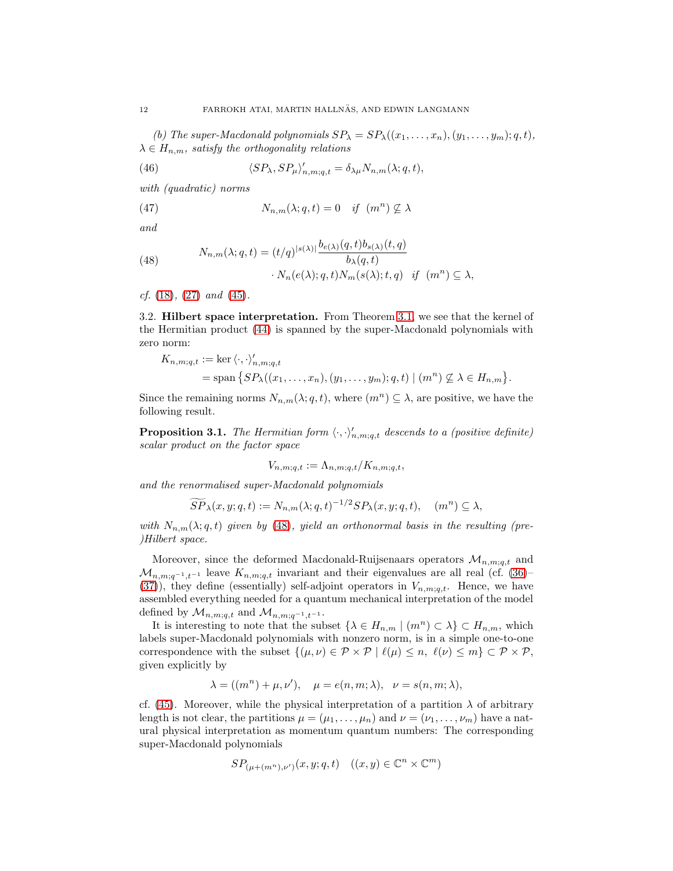(b) The super-Macdonald polynomials  $SP_{\lambda} = SP_{\lambda}((x_1, \ldots, x_n), (y_1, \ldots, y_m); q, t),$  $\lambda \in H_{n,m}$ , satisfy the orthogonality relations

<span id="page-11-3"></span><span id="page-11-1"></span>(46) 
$$
\langle SP_{\lambda}, SP_{\mu} \rangle'_{n,m;q,t} = \delta_{\lambda\mu} N_{n,m}(\lambda;q,t),
$$

with (quadratic) norms

(47) 
$$
N_{n,m}(\lambda;q,t) = 0 \quad \text{if} \quad (m^n) \not\subseteq \lambda
$$

<span id="page-11-2"></span>and

(48) 
$$
N_{n,m}(\lambda;q,t) = (t/q)^{|s(\lambda)|} \frac{b_{e(\lambda)}(q,t)b_{s(\lambda)}(t,q)}{b_{\lambda}(q,t)} \cdot N_n(e(\lambda);q,t)N_m(s(\lambda);t,q) \text{ if } (m^n) \subseteq \lambda,
$$

<span id="page-11-0"></span>cf.  $(18)$ ,  $(27)$  and  $(45)$ .

3.2. Hilbert space interpretation. From Theorem [3.1,](#page-10-0) we see that the kernel of the Hermitian product [\(44\)](#page-10-2) is spanned by the super-Macdonald polynomials with zero norm:

$$
K_{n,m;q,t} := \ker \langle \cdot, \cdot \rangle'_{n,m;q,t}
$$
  
= span  $\{ SP_\lambda((x_1, \ldots, x_n), (y_1, \ldots, y_m); q, t) \mid (m^n) \nsubseteq \lambda \in H_{n,m} \}.$ 

Since the remaining norms  $N_{n,m}(\lambda;q,t)$ , where  $(m^n) \subseteq \lambda$ , are positive, we have the following result.

**Proposition 3.1.** The Hermitian form  $\langle \cdot, \cdot \rangle'_{n,m;q,t}$  descends to a (positive definite) scalar product on the factor space

$$
V_{n,m;q,t} := \Lambda_{n,m;q,t}/K_{n,m;q,t},
$$

and the renormalised super-Macdonald polynomials

$$
\widetilde{SP}_{\lambda}(x, y; q, t) := N_{n,m}(\lambda; q, t)^{-1/2} SP_{\lambda}(x, y; q, t), \quad (m^n) \subseteq \lambda,
$$

with  $N_{n,m}(\lambda;q,t)$  given by [\(48\)](#page-11-2), yield an orthonormal basis in the resulting (pre-)Hilbert space.

Moreover, since the deformed Macdonald-Ruijsenaars operators  $\mathcal{M}_{n,m;q,t}$  and  $\mathcal{M}_{n,m;q^{-1},t^{-1}}$  leave  $K_{n,m;q,t}$  invariant and their eigenvalues are all real (cf. [\(36\)](#page-8-5)– [\(37\)](#page-8-6)), they define (essentially) self-adjoint operators in  $V_{n,m;q,t}$ . Hence, we have assembled everything needed for a quantum mechanical interpretation of the model defined by  $\mathcal{M}_{n,m;q,t}$  and  $\mathcal{M}_{n,m;q^{-1},t^{-1}}$ .

It is interesting to note that the subset  $\{\lambda \in H_{n,m} \mid (m^n) \subset \lambda\} \subset H_{n,m}$ , which labels super-Macdonald polynomials with nonzero norm, is in a simple one-to-one correspondence with the subset  $\{(\mu, \nu) \in \mathcal{P} \times \mathcal{P} \mid \ell(\mu) \leq n, \ell(\nu) \leq m\} \subset \mathcal{P} \times \mathcal{P}$ , given explicitly by

$$
\lambda = ((m^n) + \mu, \nu'), \quad \mu = e(n, m; \lambda), \quad \nu = s(n, m; \lambda),
$$

cf. [\(45\)](#page-10-4). Moreover, while the physical interpretation of a partition  $\lambda$  of arbitrary length is not clear, the partitions  $\mu = (\mu_1, \ldots, \mu_n)$  and  $\nu = (\nu_1, \ldots, \nu_m)$  have a natural physical interpretation as momentum quantum numbers: The corresponding super-Macdonald polynomials

$$
SP_{(\mu+(m^n),\nu')}(x,y;q,t) \quad ((x,y) \in \mathbb{C}^n \times \mathbb{C}^m)
$$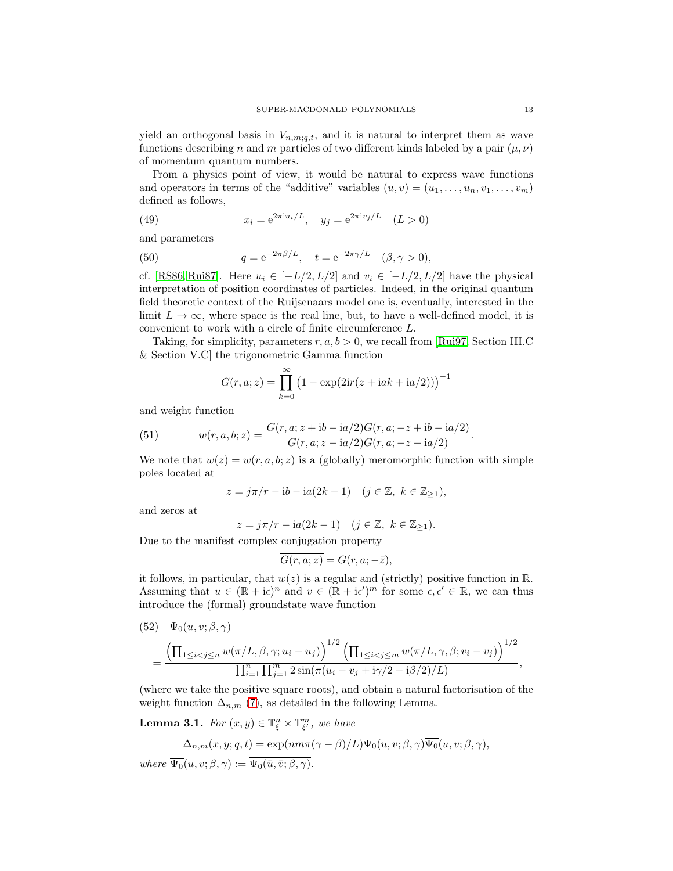yield an orthogonal basis in  $V_{n,m;q,t}$ , and it is natural to interpret them as wave functions describing n and m particles of two different kinds labeled by a pair  $(\mu, \nu)$ of momentum quantum numbers.

From a physics point of view, it would be natural to express wave functions and operators in terms of the "additive" variables  $(u, v) = (u_1, \ldots, u_n, v_1, \ldots, v_m)$ defined as follows,

<span id="page-12-4"></span>(49) 
$$
x_i = e^{2\pi i u_i/L}, \quad y_j = e^{2\pi i v_j/L} \quad (L > 0)
$$

<span id="page-12-0"></span>and parameters

(50) 
$$
q = e^{-2\pi\beta/L}, \quad t = e^{-2\pi\gamma/L} \quad (\beta, \gamma > 0),
$$

cf. [\[RS86,](#page-28-4) [Rui87\]](#page-28-3). Here  $u_i \in [-L/2, L/2]$  and  $v_i \in [-L/2, L/2]$  have the physical interpretation of position coordinates of particles. Indeed, in the original quantum field theoretic context of the Ruijsenaars model one is, eventually, interested in the limit  $L \to \infty$ , where space is the real line, but, to have a well-defined model, it is convenient to work with a circle of finite circumference L.

Taking, for simplicity, parameters  $r, a, b > 0$ , we recall from [\[Rui97,](#page-28-11) Section III.C & Section V.C] the trigonometric Gamma function

<span id="page-12-1"></span>
$$
G(r, a; z) = \prod_{k=0}^{\infty} (1 - \exp(2ir(z + iak + ia/2)))^{-1}
$$

and weight function

(51) 
$$
w(r, a, b; z) = \frac{G(r, a; z + ib - ia/2)G(r, a; -z + ib - ia/2)}{G(r, a; z - ia/2)G(r, a; -z - ia/2)}.
$$

We note that  $w(z) = w(r, a, b; z)$  is a (globally) meromorphic function with simple poles located at

$$
z=j\pi/r-{\rm i} b-{\rm i} a(2k-1)\quad(j\in\mathbb{Z},\ k\in\mathbb{Z}_{\geq1}),
$$

and zeros at

$$
z = j\pi/r - \mathrm{i}a(2k - 1) \quad (j \in \mathbb{Z}, \ k \in \mathbb{Z}_{\geq 1}).
$$

Due to the manifest complex conjugation property

$$
\overline{G(r,a;z)} = G(r,a;-\bar{z}),
$$

it follows, in particular, that  $w(z)$  is a regular and (strictly) positive function in R. Assuming that  $u \in (\mathbb{R} + i\epsilon)^n$  and  $v \in (\mathbb{R} + i\epsilon)^m$  for some  $\epsilon, \epsilon' \in \mathbb{R}$ , we can thus introduce the (formal) groundstate wave function

<span id="page-12-2"></span>(52) 
$$
\Psi_0(u, v; \beta, \gamma) = \frac{\left(\prod_{1 \leq i < j \leq n} w(\pi/L, \beta, \gamma; u_i - u_j)\right)^{1/2} \left(\prod_{1 \leq i < j \leq m} w(\pi/L, \gamma, \beta; v_i - v_j)\right)^{1/2}}{\prod_{i=1}^n \prod_{j=1}^m 2 \sin(\pi(u_i - v_j + i\gamma/2 - i\beta/2)/L)},
$$

(where we take the positive square roots), and obtain a natural factorisation of the weight function  $\Delta_{n,m}$  [\(7\)](#page-3-1), as detailed in the following Lemma.

<span id="page-12-3"></span>**Lemma 3.1.** For  $(x, y) \in \mathbb{T}_{\xi}^{n} \times \mathbb{T}_{\xi'}^{m}$ , we have

$$
\Delta_{n,m}(x,y;q,t) = \exp(nm\pi(\gamma-\beta)/L)\Psi_0(u,v;\beta,\gamma)\overline{\Psi_0}(u,v;\beta,\gamma),
$$
  
where  $\overline{\Psi_0}(u,v;\beta,\gamma) := \overline{\Psi_0(\bar{u},\bar{v};\beta,\gamma)}$ .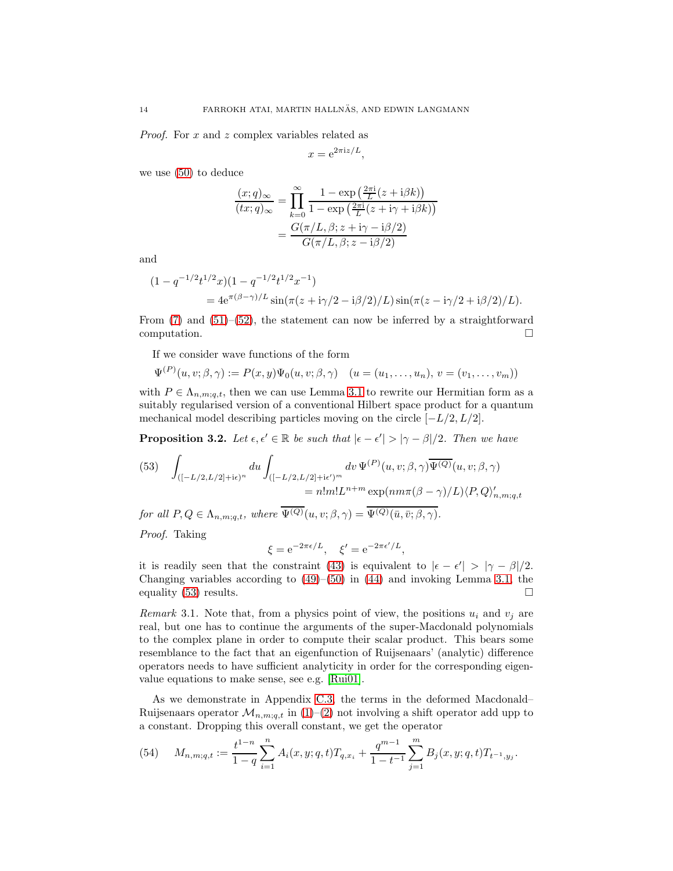Proof. For x and z complex variables related as

$$
x = e^{2\pi i z/L},
$$

we use [\(50\)](#page-12-0) to deduce

$$
\frac{(x;q)_{\infty}}{(tx;q)_{\infty}} = \prod_{k=0}^{\infty} \frac{1 - \exp\left(\frac{2\pi i}{L}(z+i\beta k)\right)}{1 - \exp\left(\frac{2\pi i}{L}(z+i\gamma+i\beta k)\right)}
$$

$$
= \frac{G(\pi/L, \beta; z+i\gamma - i\beta/2)}{G(\pi/L, \beta; z-i\beta/2)}
$$

and

$$
(1 - q^{-1/2}t^{1/2}x)(1 - q^{-1/2}t^{1/2}x^{-1})
$$
  
=  $4e^{\pi(\beta - \gamma)/L} \sin(\pi(z + i\gamma/2 - i\beta/2)/L) \sin(\pi(z - i\gamma/2 + i\beta/2)/L).$ 

From  $(7)$  and  $(51)$ – $(52)$ , the statement can now be inferred by a straightforward computation.

If we consider wave functions of the form

$$
\Psi^{(P)}(u,v;\beta,\gamma) := P(x,y)\Psi_0(u,v;\beta,\gamma) \quad (u=(u_1,\ldots,u_n),\,v=(v_1,\ldots,v_m))
$$

with  $P \in \Lambda_{n,m;q,t}$ , then we can use Lemma [3.1](#page-12-3) to rewrite our Hermitian form as a suitably regularised version of a conventional Hilbert space product for a quantum mechanical model describing particles moving on the circle  $[-L/2, L/2]$ .

**Proposition 3.2.** Let  $\epsilon, \epsilon' \in \mathbb{R}$  be such that  $|\epsilon - \epsilon'| > |\gamma - \beta|/2$ . Then we have

<span id="page-13-0"></span>(53) 
$$
\int_{([-L/2,L/2]+i\epsilon)^n} du \int_{([-L/2,L/2]+i\epsilon')^m} dv \Psi^{(P)}(u,v;\beta,\gamma) \overline{\Psi^{(Q)}}(u,v;\beta,\gamma)
$$

$$
= n!m!L^{n+m} \exp(nm\pi(\beta-\gamma)/L)\langle P,Q\rangle'_{n,m;q,t}
$$

for all  $P, Q \in \Lambda_{n,m;q,t}$ , where  $\overline{\Psi^{(Q)}}(u, v; \beta, \gamma) = \overline{\Psi^{(Q)}(\bar{u}, \bar{v}; \beta, \gamma)}$ .

Proof. Taking

<span id="page-13-1"></span>
$$
\xi = e^{-2\pi\epsilon/L}, \quad \xi' = e^{-2\pi\epsilon'/L},
$$

it is readily seen that the constraint [\(43\)](#page-10-1) is equivalent to  $|\epsilon - \epsilon'| > |\gamma - \beta|/2$ . Changing variables according to  $(49)$ – $(50)$  in  $(44)$  and invoking Lemma [3.1,](#page-12-3) the equality [\(53\)](#page-13-0) results.

*Remark* 3.1. Note that, from a physics point of view, the positions  $u_i$  and  $v_j$  are real, but one has to continue the arguments of the super-Macdonald polynomials to the complex plane in order to compute their scalar product. This bears some resemblance to the fact that an eigenfunction of Ruijsenaars' (analytic) difference operators needs to have sufficient analyticity in order for the corresponding eigenvalue equations to make sense, see e.g. [\[Rui01\]](#page-28-5).

As we demonstrate in Appendix [C.3,](#page-24-1) the terms in the deformed Macdonald– Ruijsenaars operator  $\mathcal{M}_{n,m;q,t}$  in [\(1\)](#page-1-1)–[\(2\)](#page-2-0) not involving a shift operator add upp to a constant. Dropping this overall constant, we get the operator

(54) 
$$
M_{n,m;q,t} := \frac{t^{1-n}}{1-q} \sum_{i=1}^{n} A_i(x,y;q,t) T_{q,x_i} + \frac{q^{m-1}}{1-t^{-1}} \sum_{j=1}^{m} B_j(x,y;q,t) T_{t^{-1},y_j}.
$$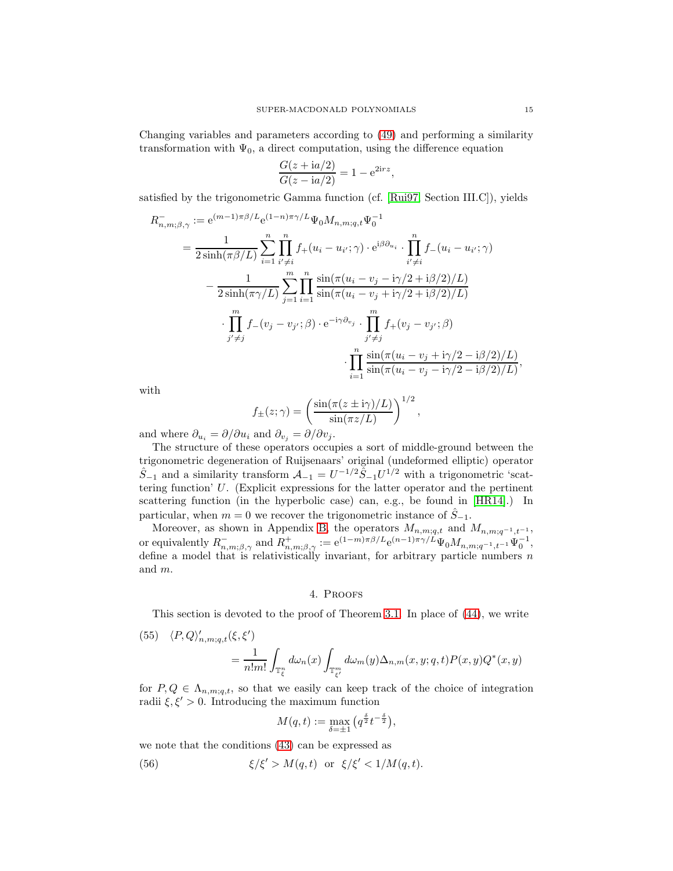Changing variables and parameters according to [\(49\)](#page-12-4) and performing a similarity transformation with  $\Psi_0$ , a direct computation, using the difference equation

$$
\frac{G(z + i a/2)}{G(z - i a/2)} = 1 - e^{2i r z},
$$

satisfied by the trigonometric Gamma function (cf. [\[Rui97,](#page-28-11) Section III.C]), yields

$$
R_{n,m;\beta,\gamma}^{-} := e^{(m-1)\pi\beta/L} e^{(1-n)\pi\gamma/L} \Psi_0 M_{n,m;q,t} \Psi_0^{-1}
$$
  
\n
$$
= \frac{1}{2 \sinh(\pi\beta/L)} \sum_{i=1}^n \prod_{i'\neq i}^n f_+(u_i - u_{i'};\gamma) \cdot e^{i\beta \partial_{u_i}} \cdot \prod_{i'\neq i}^n f_-(u_i - u_{i'};\gamma)
$$
  
\n
$$
- \frac{1}{2 \sinh(\pi\gamma/L)} \sum_{j=1}^m \prod_{i=1}^n \frac{\sin(\pi(u_i - v_j - i\gamma/2 + i\beta/2)/L)}{\sin(\pi(u_i - v_j + i\gamma/2 + i\beta/2)/L)}
$$
  
\n
$$
\cdot \prod_{j'\neq j}^m f_-(v_j - v_{j'};\beta) \cdot e^{-i\gamma \partial_{v_j}} \cdot \prod_{j'\neq j}^m f_+(v_j - v_{j'};\beta)
$$
  
\n
$$
\cdot \prod_{i=1}^n \frac{\sin(\pi(u_i - v_j + i\gamma/2 - i\beta/2)/L)}{\sin(\pi(u_i - v_j - i\gamma/2 - i\beta/2)/L)}
$$

with

$$
f_{\pm}(z;\gamma) = \left(\frac{\sin(\pi(z \pm i\gamma)/L)}{\sin(\pi z/L)}\right)^{1/2},\,
$$

and where  $\partial_{u_i} = \partial/\partial u_i$  and  $\partial_{v_j} = \partial/\partial v_j$ .

The structure of these operators occupies a sort of middle-ground between the trigonometric degeneration of Ruijsenaars' original (undeformed elliptic) operator  $\hat{S}_{-1}$  and a similarity transform  $\mathcal{A}_{-1} = U^{-1/2} \hat{S}_{-1} U^{1/2}$  with a trigonometric 'scattering function' U. (Explicit expressions for the latter operator and the pertinent scattering function (in the hyperbolic case) can, e.g., be found in [\[HR14\]](#page-28-12).) In particular, when  $m = 0$  we recover the trigonometric instance of  $\hat{S}_{-1}$ .

Moreover, as shown in Appendix [B,](#page-22-0) the operators  $M_{n,m;q,t}$  and  $M_{n,m;q-1,t-1}$ , or equivalently  $R_{n,m;\beta,\gamma}^-$  and  $R_{n,m;\beta,\gamma}^+ := e^{(1-m)\pi\beta/L} e^{(n-1)\pi\gamma/L} \Psi_0 M_{n,m;q^{-1},t^{-1}} \Psi_0^{-1},$ define a model that is relativistically invariant, for arbitrary particle numbers  $n$ and m.

### 4. Proofs

<span id="page-14-0"></span>This section is devoted to the proof of Theorem [3.1.](#page-10-0) In place of [\(44\)](#page-10-2), we write

<span id="page-14-1"></span>(55) 
$$
\langle P, Q \rangle'_{n,m;q,t}(\xi, \xi') = \frac{1}{n!m!} \int_{\mathbb{T}^n_{\xi}} d\omega_n(x) \int_{\mathbb{T}^m_{\xi'}} d\omega_m(y) \Delta_{n,m}(x, y; q, t) P(x, y) Q^*(x, y)
$$

for  $P, Q \in \Lambda_{n,m;q,t}$ , so that we easily can keep track of the choice of integration radii  $\xi, \xi' > 0$ . Introducing the maximum function

<span id="page-14-2"></span>
$$
M(q,t) := \max_{\delta=\pm 1} \left( q^{\frac{\delta}{2}} t^{-\frac{\delta}{2}} \right),
$$

we note that the conditions [\(43\)](#page-10-1) can be expressed as

(56) 
$$
\xi/\xi' > M(q,t) \text{ or } \xi/\xi' < 1/M(q,t).
$$

,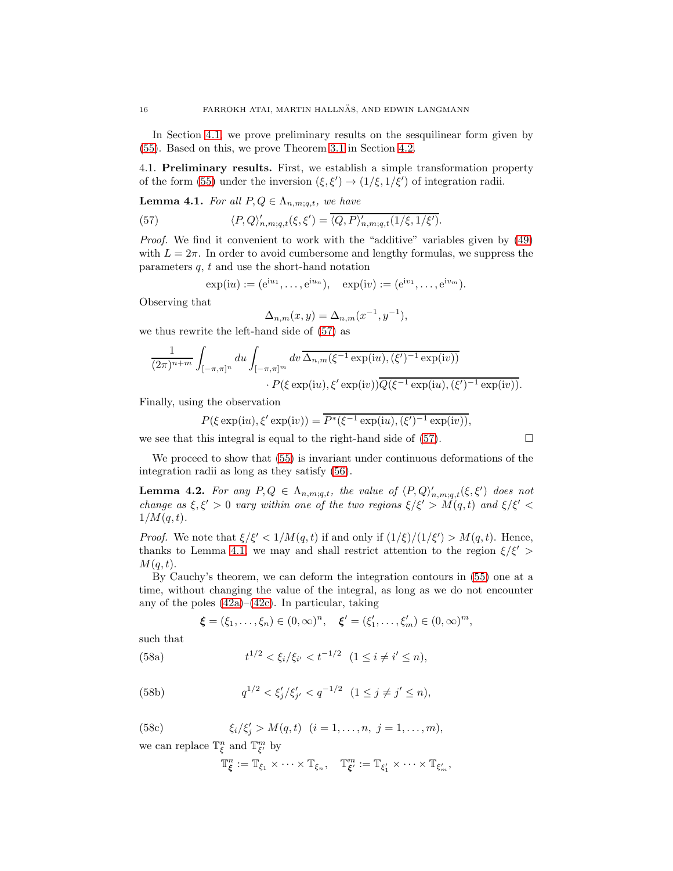In Section [4.1,](#page-15-0) we prove preliminary results on the sesquilinear form given by [\(55\)](#page-14-1). Based on this, we prove Theorem [3.1](#page-10-0) in Section [4.2.](#page-17-0)

<span id="page-15-0"></span>4.1. Preliminary results. First, we establish a simple transformation property of the form [\(55\)](#page-14-1) under the inversion  $(\xi, \xi') \rightarrow (1/\xi, 1/\xi')$  of integration radii.

<span id="page-15-3"></span>**Lemma 4.1.** For all  $P, Q \in \Lambda_{n,m;q,t}$ , we have

(57) 
$$
\langle P, Q \rangle'_{n,m;q,t}(\xi, \xi') = \overline{\langle Q, P \rangle'_{n,m;q,t}(1/\xi, 1/\xi')}.
$$

Proof. We find it convenient to work with the "additive" variables given by [\(49\)](#page-12-4) with  $L = 2\pi$ . In order to avoid cumbersome and lengthy formulas, we suppress the parameters  $q, t$  and use the short-hand notation

$$
\exp(iu) := (e^{iu_1}, \dots, e^{iu_n}), \quad \exp(iv) := (e^{iv_1}, \dots, e^{iv_m}).
$$

Observing that

<span id="page-15-2"></span>
$$
\Delta_{n,m}(x,y) = \Delta_{n,m}(x^{-1},y^{-1}),
$$

we thus rewrite the left-hand side of [\(57\)](#page-15-2) as

$$
\frac{1}{(2\pi)^{n+m}} \int_{[-\pi,\pi]^n} du \int_{[-\pi,\pi]^m} dv \, \overline{\Delta_{n,m}(\xi^{-1}\exp(iu),(\xi')^{-1}\exp(iv))} \cdot P(\xi \exp(iu),\xi' \exp(iv)) \overline{Q(\xi^{-1}\exp(iu),(\xi')^{-1}\exp(iv))}.
$$

Finally, using the observation

$$
P(\xi \exp(iu), \xi' \exp(iv)) = \overline{P^*(\xi^{-1} \exp(iu), (\xi')^{-1} \exp(iv))},
$$

we see that this integral is equal to the right-hand side of  $(57)$ .

We proceed to show that [\(55\)](#page-14-1) is invariant under continuous deformations of the integration radii as long as they satisfy [\(56\)](#page-14-2).

<span id="page-15-1"></span>**Lemma 4.2.** For any  $P, Q \in \Lambda_{n,m;q,t}$ , the value of  $\langle P, Q \rangle'_{n,m;q,t}(\xi, \xi')$  does not change as  $\xi, \xi' > 0$  vary within one of the two regions  $\xi/\xi' > M(q, t)$  and  $\xi/\xi' <$  $1/M(q,t)$ .

*Proof.* We note that  $\xi/\xi' < 1/M(q,t)$  if and only if  $(1/\xi)/(1/\xi') > M(q,t)$ . Hence, thanks to Lemma [4.1,](#page-15-3) we may and shall restrict attention to the region  $\xi/\xi'$  $M(q,t)$ .

By Cauchy's theorem, we can deform the integration contours in [\(55\)](#page-14-1) one at a time, without changing the value of the integral, as long as we do not encounter any of the poles  $(42a)$ – $(42c)$ . In particular, taking

<span id="page-15-4"></span>
$$
\xi = (\xi_1, ..., \xi_n) \in (0, \infty)^n, \quad \xi' = (\xi'_1, ..., \xi'_m) \in (0, \infty)^m,
$$

such that

(58a) 
$$
t^{1/2} < \xi_i/\xi_{i'} < t^{-1/2} \quad (1 \leq i \neq i' \leq n),
$$

(58b) 
$$
q^{1/2} < \xi'_j / \xi'_{j'} < q^{-1/2} \quad (1 \le j \ne j' \le n),
$$

<span id="page-15-5"></span>(58c) 
$$
\xi_i/\xi'_j > M(q,t)
$$
  $(i = 1,..., n, j = 1,..., m),$ 

we can replace  $\mathbb{T}^n_{\xi}$  and  $\mathbb{T}^m_{\xi'}$  by

$$
\mathbb{T}^n_{\pmb{\xi}}:=\mathbb{T}_{\xi_1}\times\cdots\times\mathbb{T}_{\xi_n},\quad \mathbb{T}^m_{\pmb{\xi}'}:=\mathbb{T}_{\xi'_1}\times\cdots\times\mathbb{T}_{\xi'_m},
$$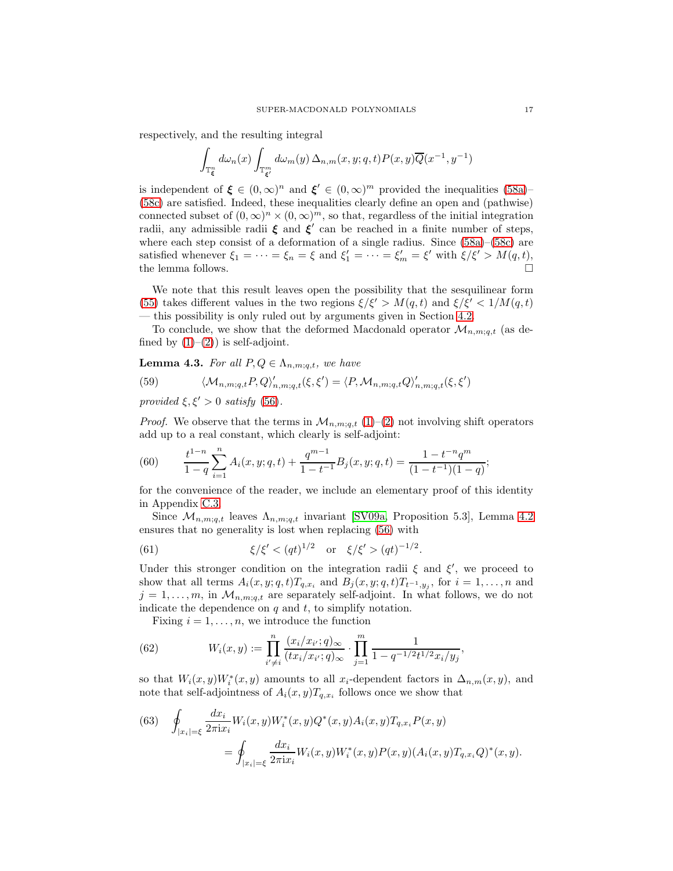respectively, and the resulting integral

$$
\int_{\mathbb{T}^n_{\xi}} d\omega_n(x) \int_{\mathbb{T}^m_{\xi'}} d\omega_m(y) \, \Delta_{n,m}(x,y;q,t) P(x,y) \overline{Q}(x^{-1},y^{-1})
$$

is independent of  $\xi \in (0,\infty)^n$  and  $\xi' \in (0,\infty)^m$  provided the inequalities [\(58a\)](#page-15-4)– [\(58c\)](#page-15-5) are satisfied. Indeed, these inequalities clearly define an open and (pathwise) connected subset of  $(0, \infty)^n \times (0, \infty)^m$ , so that, regardless of the initial integration radii, any admissible radii  $\xi$  and  $\xi'$  can be reached in a finite number of steps, where each step consist of a deformation of a single radius. Since  $(58a)$ – $(58c)$  are satisfied whenever  $\xi_1 = \cdots = \xi_n = \xi$  and  $\xi'_1 = \cdots = \xi'_m = \xi'$  with  $\xi/\xi' > M(q, t)$ , the lemma follows.  $\Box$ 

We note that this result leaves open the possibility that the sesquilinear form [\(55\)](#page-14-1) takes different values in the two regions  $\xi/\xi' > M(q,t)$  and  $\xi/\xi' < 1/M(q,t)$ — this possibility is only ruled out by arguments given in Section [4.2.](#page-17-0)

To conclude, we show that the deformed Macdonald operator  $\mathcal{M}_{n,m;q,t}$  (as defined by  $(1)-(2)$  $(1)-(2)$ ) is self-adjoint.

<span id="page-16-3"></span>**Lemma 4.3.** For all  $P, Q \in \Lambda_{n,m;q,t}$ , we have

(59) 
$$
\langle \mathcal{M}_{n,m;q,t} P, Q \rangle'_{n,m;q,t} (\xi, \xi') = \langle P, \mathcal{M}_{n,m;q,t} Q \rangle'_{n,m;q,t} (\xi, \xi')
$$

provided  $\xi, \xi' > 0$  satisfy [\(56\)](#page-14-2).

<span id="page-16-0"></span>*Proof.* We observe that the terms in  $\mathcal{M}_{n,m;q,t}$  [\(1\)](#page-1-1)–[\(2\)](#page-2-0) not involving shift operators add up to a real constant, which clearly is self-adjoint:

(60) 
$$
\frac{t^{1-n}}{1-q} \sum_{i=1}^{n} A_i(x, y; q, t) + \frac{q^{m-1}}{1-t^{-1}} B_j(x, y; q, t) = \frac{1-t^{-n}q^m}{(1-t^{-1})(1-q)};
$$

for the convenience of the reader, we include an elementary proof of this identity in Appendix [C.3.](#page-24-1)

Since  $\mathcal{M}_{n,m;q,t}$  leaves  $\Lambda_{n,m;q,t}$  invariant [\[SV09a,](#page-28-0) Proposition 5.3], Lemma [4.2](#page-15-1) ensures that no generality is lost when replacing [\(56\)](#page-14-2) with

<span id="page-16-2"></span>(61) 
$$
\xi/\xi' < (qt)^{1/2}
$$
 or  $\xi/\xi' > (qt)^{-1/2}$ .

Under this stronger condition on the integration radii  $\xi$  and  $\xi'$ , we proceed to show that all terms  $A_i(x, y; q, t)T_{q,x_i}$  and  $B_j(x, y; q, t)T_{t^{-1},y_j}$ , for  $i = 1, \ldots, n$  and  $j = 1, \ldots, m$ , in  $\mathcal{M}_{n,m;q,t}$  are separately self-adjoint. In what follows, we do not indicate the dependence on  $q$  and  $t$ , to simplify notation.

<span id="page-16-4"></span>Fixing  $i = 1, \ldots, n$ , we introduce the function

(62) 
$$
W_i(x,y) := \prod_{i' \neq i}^n \frac{(x_i/x_{i'}; q)_{\infty}}{(tx_i/x_{i'}; q)_{\infty}} \cdot \prod_{j=1}^m \frac{1}{1 - q^{-1/2}t^{1/2}x_i/y_j},
$$

so that  $W_i(x, y)W_i^*(x, y)$  amounts to all x<sub>i</sub>-dependent factors in  $\Delta_{n,m}(x, y)$ , and note that self-adjointness of  $A_i(x, y)T_{q,x_i}$  follows once we show that

<span id="page-16-1"></span>(63) 
$$
\oint_{|x_i|=\xi} \frac{dx_i}{2\pi i x_i} W_i(x, y) W_i^*(x, y) Q^*(x, y) A_i(x, y) T_{q, x_i} P(x, y)
$$

$$
= \oint_{|x_i|=\xi} \frac{dx_i}{2\pi i x_i} W_i(x, y) W_i^*(x, y) P(x, y) (A_i(x, y) T_{q, x_i} Q)^*(x, y).
$$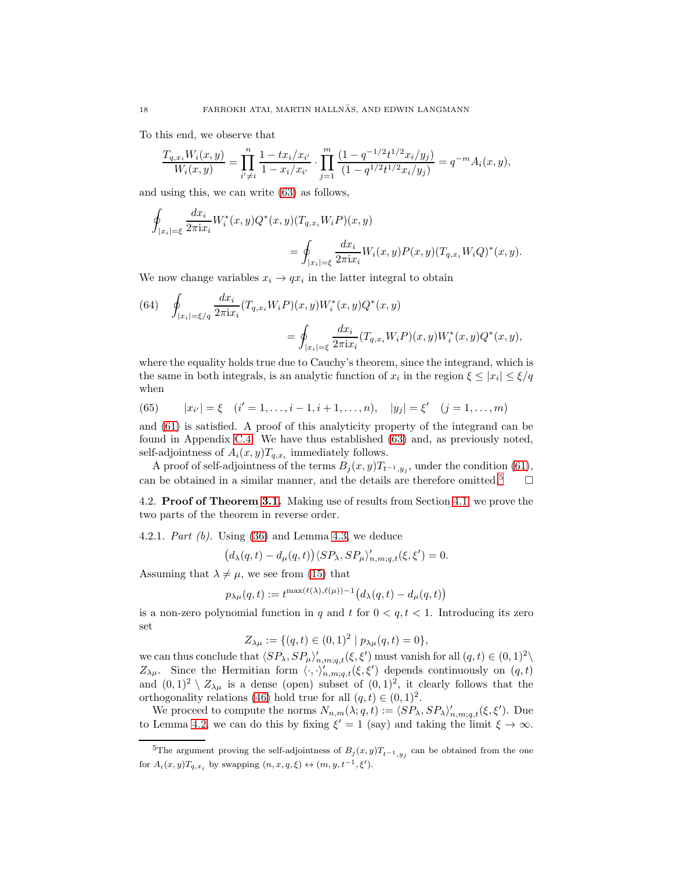To this end, we observe that

$$
\frac{T_{q,x_i}W_i(x,y)}{W_i(x,y)} = \prod_{i' \neq i}^{n} \frac{1 - tx_i/x_{i'}}{1 - x_i/x_{i'}} \cdot \prod_{j=1}^{m} \frac{(1 - q^{-1/2}t^{1/2}x_i/y_j)}{(1 - q^{1/2}t^{1/2}x_i/y_j)} = q^{-m}A_i(x,y),
$$

and using this, we can write [\(63\)](#page-16-1) as follows,

$$
\begin{aligned} \oint_{|x_i|=\xi} \frac{dx_i}{2\pi {\rm i} x_i} W_i^*(x,y) Q^*(x,y) (T_{q,x_i} W_i P)(x,y) \\ = \oint_{|x_i|=\xi} \frac{dx_i}{2\pi {\rm i} x_i} W_i(x,y) P(x,y) (T_{q,x_i} W_i Q)^*(x,y). \end{aligned}
$$

We now change variables  $x_i \rightarrow qx_i$  in the latter integral to obtain

<span id="page-17-1"></span>(64) 
$$
\oint_{|x_i|=\xi/q} \frac{dx_i}{2\pi ix_i} (T_{q,x_i} W_i P)(x, y) W_i^*(x, y) Q^*(x, y)
$$

$$
= \oint_{|x_i|=\xi} \frac{dx_i}{2\pi ix_i} (T_{q,x_i} W_i P)(x, y) W_i^*(x, y) Q^*(x, y),
$$

where the equality holds true due to Cauchy's theorem, since the integrand, which is the same in both integrals, is an analytic function of  $x_i$  in the region  $\xi \le |x_i| \le \xi/q$ when

<span id="page-17-3"></span>(65) 
$$
|x_{i'}| = \xi \quad (i'=1,\ldots,i-1,i+1,\ldots,n), \quad |y_j| = \xi' \quad (j=1,\ldots,m)
$$

and [\(61\)](#page-16-2) is satisfied. A proof of this analyticity property of the integrand can be found in Appendix [C.4.](#page-25-0) We have thus established [\(63\)](#page-16-1) and, as previously noted, self-adjointness of  $A_i(x, y)T_{q,x_i}$  immediately follows.

A proof of self-adjointness of the terms  $B_j(x, y)T_{t^{-1},y_j}$ , under the condition [\(61\)](#page-16-2), can be obtained in a similar manner, and the details are therefore omitted.<sup>[5](#page-17-2)</sup>  $\Box$ 

<span id="page-17-0"></span>4.2. Proof of Theorem [3.1.](#page-10-0) Making use of results from Section [4.1,](#page-15-0) we prove the two parts of the theorem in reverse order.

4.2.1. Part  $(b)$ . Using  $(36)$  and Lemma [4.3,](#page-16-3) we deduce

$$
\left(d_\lambda(q,t)-d_\mu(q,t)\right)\langle SP_\lambda,SP_\mu\rangle'_{n,m;q,t}(\xi,\xi')=0.
$$

Assuming that  $\lambda \neq \mu$ , we see from [\(15\)](#page-5-2) that

$$
p_{\lambda\mu}(q,t) := t^{\max(\ell(\lambda),\ell(\mu))-1} \big( d_\lambda(q,t) - d_\mu(q,t) \big)
$$

is a non-zero polynomial function in q and t for  $0 < q, t < 1$ . Introducing its zero set

$$
Z_{\lambda\mu} := \{ (q, t) \in (0, 1)^2 \mid p_{\lambda\mu}(q, t) = 0 \},
$$

we can thus conclude that  $\langle SP_\lambda, SP_\mu \rangle'_{n,m;q,t}(\xi, \xi')$  must vanish for all  $(q, t) \in (0, 1)^2 \setminus \mathbb{R}$  $Z_{\lambda\mu}$ . Since the Hermitian form  $\langle \cdot, \cdot \rangle'_{n,m;q,t}(\xi, \xi')$  depends continuously on  $(q, t)$ and  $(0,1)^2 \setminus Z_{\lambda\mu}$  is a dense (open) subset of  $(0,1)^2$ , it clearly follows that the orthogonality relations [\(46\)](#page-11-3) hold true for all  $(q, t) \in (0, 1)^2$ .

We proceed to compute the norms  $N_{n,m}(\lambda;q,t) := \langle SP_\lambda, SP_\lambda \rangle'_{n,m;q,t}(\xi, \xi')$ . Due to Lemma [4.2,](#page-15-1) we can do this by fixing  $\xi' = 1$  (say) and taking the limit  $\xi \to \infty$ .

<span id="page-17-2"></span><sup>&</sup>lt;sup>5</sup>The argument proving the self-adjointness of  $B_j(x, y)T_{t^{-1}, y_j}$  can be obtained from the one for  $A_i(x, y)T_{q,x_i}$  by swapping  $(n, x, q, \xi) \leftrightarrow (m, y, t^{-1}, \xi').$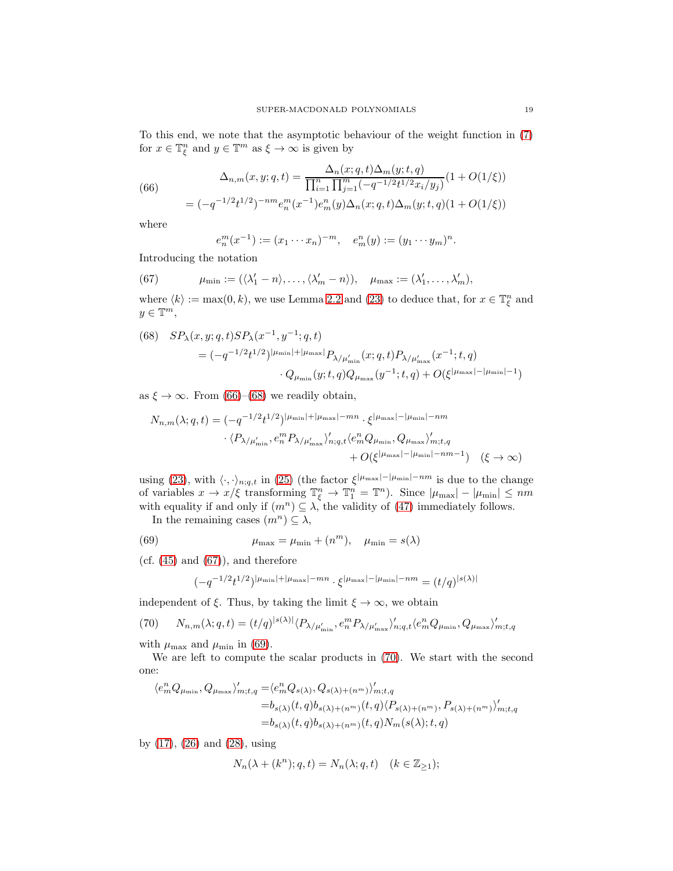To this end, we note that the asymptotic behaviour of the weight function in [\(7\)](#page-3-1) for  $x \in \mathbb{T}_{\xi}^{n}$  and  $y \in \mathbb{T}^{m}$  as  $\xi \to \infty$  is given by

(66)  
\n
$$
\Delta_{n,m}(x,y;q,t) = \frac{\Delta_n(x;q,t)\Delta_m(y;t,q)}{\prod_{i=1}^n \prod_{j=1}^m (-q^{-1/2}t^{1/2}x_i/y_j)}(1+O(1/\xi))
$$
\n
$$
= (-q^{-1/2}t^{1/2})^{-nm}e_n^m(x^{-1})e_m^n(y)\Delta_n(x;q,t)\Delta_m(y;t,q)(1+O(1/\xi))
$$

where

<span id="page-18-2"></span><span id="page-18-0"></span>
$$
e_n^m(x^{-1}) := (x_1 \cdots x_n)^{-m}, \quad e_m^n(y) := (y_1 \cdots y_m)^n.
$$

Introducing the notation

(67) 
$$
\mu_{\min} := (\langle \lambda'_1 - n \rangle, \dots, \langle \lambda'_m - n \rangle), \quad \mu_{\max} := (\lambda'_1, \dots, \lambda'_m),
$$

where  $\langle k \rangle := \max(0, k)$ , we use Lemma [2.2](#page-8-0) and [\(23\)](#page-6-7) to deduce that, for  $x \in \mathbb{T}_{\xi}^{n}$  and  $y \in \mathbb{T}^m$ ,

<span id="page-18-1"></span>(68) 
$$
SP_{\lambda}(x, y; q, t)SP_{\lambda}(x^{-1}, y^{-1}; q, t)
$$
  
=  $(-q^{-1/2}t^{1/2})^{|\mu_{\min}|+|\mu_{\max}|}P_{\lambda/\mu'_{\min}}(x; q, t)P_{\lambda/\mu'_{\max}}(x^{-1}; t, q)$   

$$
\cdot Q_{\mu_{\min}}(y; t, q)Q_{\mu_{\max}}(y^{-1}; t, q) + O(\xi^{|\mu_{\max}|-|\mu_{\min}|-1})
$$

as  $\xi \to \infty$ . From [\(66\)](#page-18-0)–[\(68\)](#page-18-1) we readily obtain,

$$
N_{n,m}(\lambda;q,t) = (-q^{-1/2}t^{1/2})^{|\mu_{\min}|+|\mu_{\max}|-mn} \cdot \xi^{|\mu_{\max}|-|\mu_{\min}|-nm}
$$

$$
\cdot \langle P_{\lambda/\mu'_{\min}}, e_n^m P_{\lambda/\mu'_{\max}} \rangle'_{n;q,t} \langle e_m^n Q_{\mu_{\min}}, Q_{\mu_{\max}} \rangle'_{m;t,q}
$$

$$
+ O(\xi^{|\mu_{\max}| - |\mu_{\min}| - nm - 1}) \quad (\xi \to \infty)
$$

using [\(23\)](#page-6-7), with  $\langle \cdot, \cdot \rangle_{n;q,t}$  in [\(25\)](#page-7-1) (the factor  $\xi^{|\mu_{\text{max}}|-|\mu_{\text{min}}|-nm}$  is due to the change of variables  $x \to x/\xi$  transforming  $\mathbb{T}^n_{\xi} \to \mathbb{T}^n_1 = \mathbb{T}^n$ ). Since  $|\mu_{\max}| - |\mu_{\min}| \le nm$ with equality if and only if  $(m^n) \subseteq \lambda$ , the validity of [\(47\)](#page-11-1) immediately follows.

In the remaining cases  $(m^n) \subseteq \lambda$ ,

(69) 
$$
\mu_{\max} = \mu_{\min} + (n^m), \quad \mu_{\min} = s(\lambda)
$$

(cf.  $(45)$  and  $(67)$ ), and therefore

<span id="page-18-4"></span><span id="page-18-3"></span>
$$
(-q^{-1/2}t^{1/2})^{|\mu_{\min}|+|\mu_{\max}|-mn}\cdot\xi^{|\mu_{\max}|-|\mu_{\min}|-nm}=(t/q)^{|s(\lambda)|}
$$

independent of  $\xi$ . Thus, by taking the limit  $\xi \to \infty$ , we obtain

$$
(70) \qquad N_{n,m}(\lambda;q,t) = (t/q)^{|s(\lambda)|} \langle P_{\lambda/\mu'_{\min}}, e_n^m P_{\lambda/\mu'_{\max}} \rangle'_{n;q,t} \langle e_m^n Q_{\mu_{\min}}, Q_{\mu_{\max}} \rangle'_{m;t,q}
$$

with  $\mu_{\text{max}}$  and  $\mu_{\text{min}}$  in [\(69\)](#page-18-3).

We are left to compute the scalar products in [\(70\)](#page-18-4). We start with the second one:

$$
\langle e_m^n Q_{\mu_{\min}}, Q_{\mu_{\max}} \rangle'_{m;t,q} = \langle e_m^n Q_{s(\lambda)}, Q_{s(\lambda)+(n^m)} \rangle'_{m;t,q}
$$
  
=  $b_{s(\lambda)}(t,q)b_{s(\lambda)+(n^m)}(t,q) \langle P_{s(\lambda)+(n^m)}, P_{s(\lambda)+(n^m)} \rangle'_{m;t,q}$   
=  $b_{s(\lambda)}(t,q)b_{s(\lambda)+(n^m)}(t,q)N_m(s(\lambda);t,q)$ 

by [\(17\)](#page-6-8), [\(26\)](#page-7-8) and [\(28\)](#page-7-9), using

$$
N_n(\lambda + (k^n); q, t) = N_n(\lambda; q, t) \quad (k \in \mathbb{Z}_{\ge 1});
$$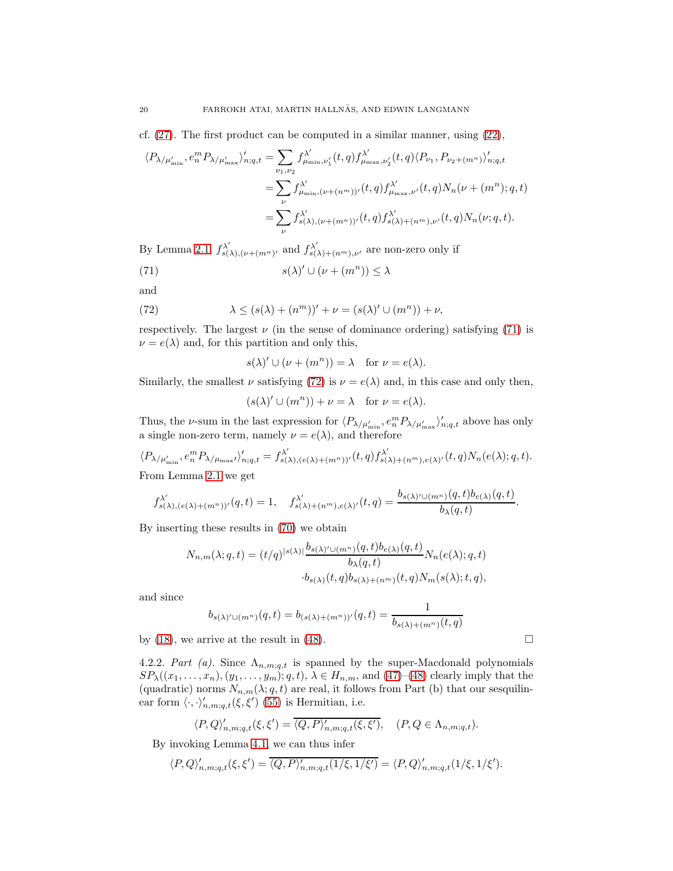cf.  $(27)$ . The first product can be computed in a similar manner, using  $(22)$ ,

$$
\langle P_{\lambda/\mu'_{\min}}, e_n^m P_{\lambda/\mu'_{\max}} \rangle'_{n;q,t} = \sum_{\nu_1, \nu_2} f_{\mu_{\min}, \nu'_1}^{\lambda'}(t, q) f_{\mu_{\max}, \nu'_2}^{\lambda'}(t, q) \langle P_{\nu_1}, P_{\nu_2 + (m^n)} \rangle'_{n;q,t}
$$
  

$$
= \sum_{\nu} f_{\mu_{\min}, (\nu + (n^m))'}^{\lambda'}(t, q) f_{\mu_{\max}, \nu'}^{\lambda'}(t, q) N_n(\nu + (m^n); q, t)
$$
  

$$
= \sum_{\nu} f_{s(\lambda), (\nu + (m^n))'}^{\lambda'}(t, q) f_{s(\lambda) + (n^m), \nu'}^{\lambda'}(t, q) N_n(\nu; q, t).
$$

By Lemma [2.1,](#page-6-0)  $f_{s(\lambda),(\nu+(m^n))}^{\lambda'}$  and  $f_{s(\lambda)+(n^m),\nu'}^{\lambda'}$  are non-zero only if

(71) 
$$
s(\lambda)' \cup (\nu + (m^n)) \leq \lambda
$$

<span id="page-19-1"></span>and

(72) 
$$
\lambda \le (s(\lambda) + (n^m))' + \nu = (s(\lambda)' \cup (m^n)) + \nu,
$$

respectively. The largest  $\nu$  (in the sense of dominance ordering) satisfying [\(71\)](#page-19-0) is  $\nu = e(\lambda)$  and, for this partition and only this,

<span id="page-19-0"></span>
$$
s(\lambda)' \cup (\nu + (m^n)) = \lambda \quad \text{for } \nu = e(\lambda).
$$

Similarly, the smallest  $\nu$  satisfying [\(72\)](#page-19-1) is  $\nu = e(\lambda)$  and, in this case and only then,

 $(s(\lambda)'\cup(m^n))+\nu=\lambda \text{ for } \nu=e(\lambda).$ 

Thus, the *v*-sum in the last expression for  $\langle P_{\lambda/\mu'_{\rm min}}, e_n^m P_{\lambda/\mu'_{\rm max}} \rangle'_{n;q,t}$  above has only a single non-zero term, namely  $\nu = e(\lambda)$ , and therefore

$$
\langle P_{\lambda/\mu'_{\min}}, e_n^m P_{\lambda/\mu_{\max}} \rangle'_{n;q,t} = f_{s(\lambda),(e(\lambda)+(m^n))'}^{\lambda'}(t,q) f_{s(\lambda)+(n^m),e(\lambda)'}^{\lambda'}(t,q) N_n(e(\lambda);q,t).
$$
  
From Lemma 2.1 we get

From Lemma [2.1](#page-6-0) we get

$$
f_{s(\lambda),(e(\lambda)+(m^n))'}^{\lambda'}(q,t)=1, \quad f_{s(\lambda)+(n^m),e(\lambda)'}^{\lambda'}(t,q)=\frac{b_{s(\lambda)'\cup(m^n)}(q,t)b_{e(\lambda)}(q,t)}{b_{\lambda}(q,t)}.
$$

By inserting these results in [\(70\)](#page-18-4) we obtain

$$
\begin{split} N_{n,m}(\lambda;q,t) = (t/q)^{|s(\lambda)|} \frac{b_{s(\lambda)'\cup (m^n)}(q,t)b_{e(\lambda)}(q,t)}{b_{\lambda}(q,t)} N_n(e(\lambda);q,t)\\ \cdot b_{s(\lambda)}(t,q)b_{s(\lambda)+(n^m)}(t,q)N_m(s(\lambda);t,q), \end{split}
$$

and since

$$
b_{s(\lambda)'\cup(m^n)}(q,t) = b_{(s(\lambda)+(m^n))'}(q,t) = \frac{1}{b_{s(\lambda)+(m^n)}(t,q)}
$$

by [\(18\)](#page-6-6), we arrive at the result in [\(48\)](#page-11-2).

4.2.2. Part (a). Since  $\Lambda_{n,m;q,t}$  is spanned by the super-Macdonald polynomials  $SP_{\lambda}((x_1,\ldots,x_n),(y_1,\ldots,y_m);q,t),\lambda\in H_{n,m},$  and  $(47)-(48)$  $(47)-(48)$  clearly imply that the (quadratic) norms  $N_{n,m}(\lambda;q,t)$  are real, it follows from Part (b) that our sesquilinear form  $\langle \cdot, \cdot \rangle'_{n,m;q,t}(\xi, \xi')$  [\(55\)](#page-14-1) is Hermitian, i.e.

$$
\langle P, Q \rangle'_{n,m;q,t}(\xi, \xi') = \overline{\langle Q, P \rangle'_{n,m;q,t}(\xi, \xi')}, \quad (P, Q \in \Lambda_{n,m;q,t}).
$$

By invoking Lemma [4.1,](#page-15-3) we can thus infer

$$
\langle P, Q \rangle'_{n,m;q,t}(\xi, \xi') = \overline{\langle Q, P \rangle'_{n,m;q,t}(1/\xi, 1/\xi')} = \langle P, Q \rangle'_{n,m;q,t}(1/\xi, 1/\xi').
$$

$$
\Box
$$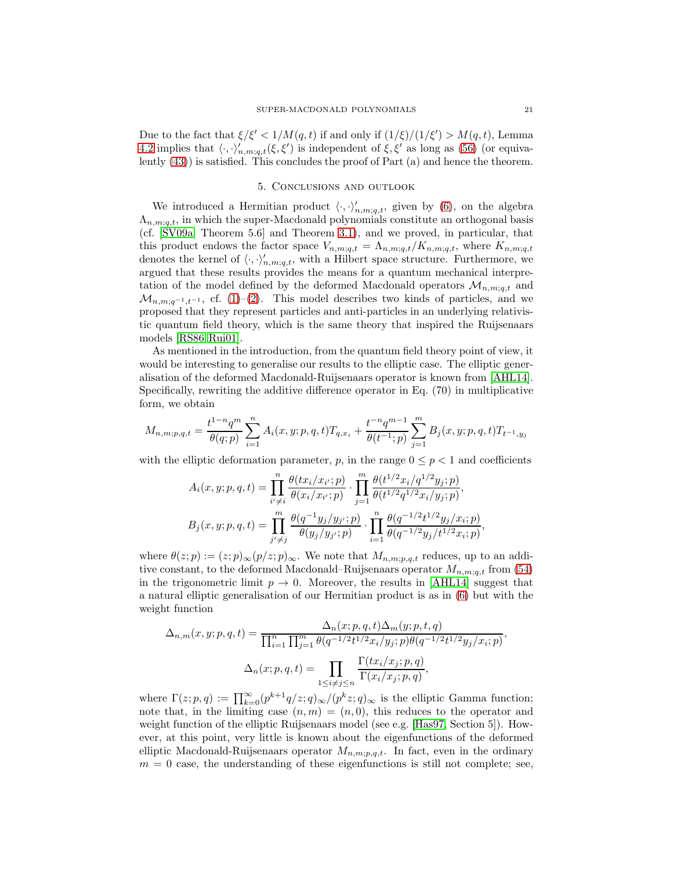Due to the fact that  $\xi/\xi' < 1/M(q,t)$  if and only if  $(1/\xi)/(1/\xi') > M(q,t)$ , Lemma [4.2](#page-15-1) implies that  $\langle \cdot, \cdot \rangle'_{n,m;q,t}(\xi, \xi')$  is independent of  $\xi, \xi'$  as long as [\(56\)](#page-14-2) (or equivalently [\(43\)](#page-10-1)) is satisfied. This concludes the proof of Part (a) and hence the theorem.

# 5. Conclusions and outlook

<span id="page-20-0"></span>We introduced a Hermitian product  $\langle \cdot, \cdot \rangle'_{n,m;q,t}$ , given by [\(6\)](#page-3-0), on the algebra  $\Lambda_{n,m;q,t}$ , in which the super-Macdonald polynomials constitute an orthogonal basis (cf. [\[SV09a,](#page-28-0) Theorem 5.6] and Theorem [3.1\)](#page-10-0), and we proved, in particular, that this product endows the factor space  $V_{n,m;q,t} = \Lambda_{n,m;q,t}/K_{n,m;q,t}$ , where  $K_{n,m;q,t}$ denotes the kernel of  $\langle \cdot, \cdot \rangle'_{n,m;q,t}$ , with a Hilbert space structure. Furthermore, we argued that these results provides the means for a quantum mechanical interpretation of the model defined by the deformed Macdonald operators  $\mathcal{M}_{n,m;a,t}$  and  $\mathcal{M}_{n,m;q^{-1},t^{-1}}$ , cf. [\(1\)](#page-1-1)–[\(2\)](#page-2-0). This model describes two kinds of particles, and we proposed that they represent particles and anti-particles in an underlying relativistic quantum field theory, which is the same theory that inspired the Ruijsenaars models [\[RS86,](#page-28-4) [Rui01\]](#page-28-5).

As mentioned in the introduction, from the quantum field theory point of view, it would be interesting to generalise our results to the elliptic case. The elliptic generalisation of the deformed Macdonald-Ruijsenaars operator is known from [\[AHL14\]](#page-27-7). Specifically, rewriting the additive difference operator in Eq. (70) in multiplicative form, we obtain

$$
M_{n,m;p,q,t}=\frac{t^{1-n}q^m}{\theta(q;p)}\sum_{i=1}^n A_i(x,y;p,q,t)T_{q,x_i}+\frac{t^{-n}q^{m-1}}{\theta(t^{-1};p)}\sum_{j=1}^m B_j(x,y;p,q,t)T_{t^{-1},y_j}
$$

with the elliptic deformation parameter, p, in the range  $0 \leq p < 1$  and coefficients

$$
A_i(x, y; p, q, t) = \prod_{i' \neq i}^{n} \frac{\theta(tx_i/x_{i'}; p)}{\theta(x_i/x_{i'}; p)} \cdot \prod_{j=1}^{m} \frac{\theta(t^{1/2}x_i/q^{1/2}y_j; p)}{\theta(t^{1/2}q^{1/2}x_i/y_j; p)},
$$
  
\n
$$
B_j(x, y; p, q, t) = \prod_{j' \neq j}^{m} \frac{\theta(q^{-1}y_j/y_{j'}; p)}{\theta(y_j/y_{j'}; p)} \cdot \prod_{i=1}^{n} \frac{\theta(q^{-1/2}t^{1/2}y_j/x_i; p)}{\theta(q^{-1/2}y_j/t^{1/2}x_i; p)},
$$

where  $\theta(z; p) := (z; p)_{\infty}(p/z; p)_{\infty}$ . We note that  $M_{n,m;p,q,t}$  reduces, up to an additive constant, to the deformed Macdonald–Ruijsenaars operator  $M_{n,m;a,t}$  from [\(54\)](#page-13-1) in the trigonometric limit  $p \to 0$ . Moreover, the results in [\[AHL14\]](#page-27-7) suggest that a natural elliptic generalisation of our Hermitian product is as in [\(6\)](#page-3-0) but with the weight function

$$
\Delta_{n,m}(x, y; p, q, t) = \frac{\Delta_n(x; p, q, t)\Delta_m(y; p, t, q)}{\prod_{i=1}^n \prod_{j=1}^m \theta(q^{-1/2}t^{1/2}x_i/y_j; p)\theta(q^{-1/2}t^{1/2}y_j/x_i; p)},
$$

$$
\Delta_n(x; p, q, t) = \prod_{1 \le i \ne j \le n} \frac{\Gamma(tx_i/x_j; p, q)}{\Gamma(x_i/x_j; p, q)},
$$

where  $\Gamma(z; p, q) := \prod_{k=0}^{\infty} (p^{k+1}q/z; q)_{\infty}/(p^k z; q)_{\infty}$  is the elliptic Gamma function; note that, in the limiting case  $(n, m) = (n, 0)$ , this reduces to the operator and weight function of the elliptic Ruijsenaars model (see e.g. [\[Has97,](#page-28-10) Section 5]). However, at this point, very little is known about the eigenfunctions of the deformed elliptic Macdonald-Ruijsenaars operator  $M_{n,m;p,q,t}$ . In fact, even in the ordinary  $m = 0$  case, the understanding of these eigenfunctions is still not complete; see,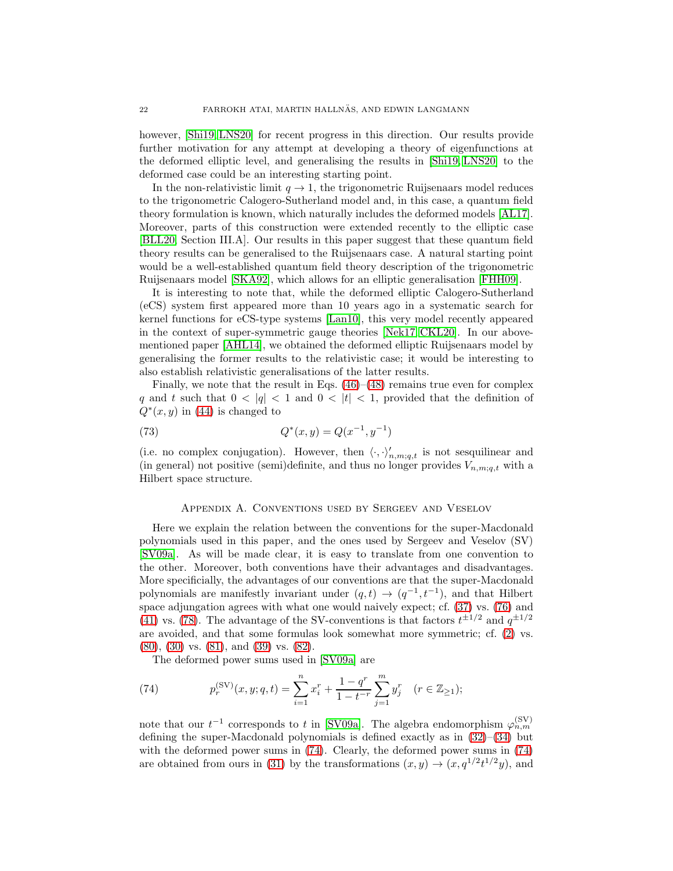however,  $[\text{Shi19}, \text{LNS20}]$  for recent progress in this direction. Our results provide further motivation for any attempt at developing a theory of eigenfunctions at the deformed elliptic level, and generalising the results in [\[Shi19,](#page-28-13) [LNS20\]](#page-28-14) to the deformed case could be an interesting starting point.

In the non-relativistic limit  $q \to 1$ , the trigonometric Ruijsenaars model reduces to the trigonometric Calogero-Sutherland model and, in this case, a quantum field theory formulation is known, which naturally includes the deformed models [\[AL17\]](#page-27-2). Moreover, parts of this construction were extended recently to the elliptic case [\[BLL20,](#page-27-3) Section III.A]. Our results in this paper suggest that these quantum field theory results can be generalised to the Ruijsenaars case. A natural starting point would be a well-established quantum field theory description of the trigonometric Ruijsenaars model [\[SKA92\]](#page-28-15), which allows for an elliptic generalisation [\[FHH09\]](#page-28-16).

It is interesting to note that, while the deformed elliptic Calogero-Sutherland (eCS) system first appeared more than 10 years ago in a systematic search for kernel functions for eCS-type systems [\[Lan10\]](#page-28-17), this very model recently appeared in the context of super-symmetric gauge theories [\[Nek17,](#page-28-18) [CKL20\]](#page-28-19). In our abovementioned paper [\[AHL14\]](#page-27-7), we obtained the deformed elliptic Ruijsenaars model by generalising the former results to the relativistic case; it would be interesting to also establish relativistic generalisations of the latter results.

Finally, we note that the result in Eqs.  $(46)$ – $(48)$  remains true even for complex q and t such that  $0 < |q| < 1$  and  $0 < |t| < 1$ , provided that the definition of  $Q^*(x, y)$  in [\(44\)](#page-10-2) is changed to

(73) 
$$
Q^*(x, y) = Q(x^{-1}, y^{-1})
$$

(i.e. no complex conjugation). However, then  $\langle \cdot, \cdot \rangle'_{n,m;q,t}$  is not sesquilinear and (in general) not positive (semi)definite, and thus no longer provides  $V_{n,m;q,t}$  with a Hilbert space structure.

### Appendix A. Conventions used by Sergeev and Veselov

<span id="page-21-0"></span>Here we explain the relation between the conventions for the super-Macdonald polynomials used in this paper, and the ones used by Sergeev and Veselov (SV) [\[SV09a\]](#page-28-0). As will be made clear, it is easy to translate from one convention to the other. Moreover, both conventions have their advantages and disadvantages. More specificially, the advantages of our conventions are that the super-Macdonald polynomials are manifestly invariant under  $(q,t) \rightarrow (q^{-1}, t^{-1})$ , and that Hilbert space adjungation agrees with what one would naively expect; cf. [\(37\)](#page-8-6) vs. [\(76\)](#page-22-1) and [\(41\)](#page-9-4) vs. [\(78\)](#page-22-2). The advantage of the SV-conventions is that factors  $t^{\pm 1/2}$  and  $q^{\pm 1/2}$ are avoided, and that some formulas look somewhat more symmetric; cf. [\(2\)](#page-2-0) vs. [\(80\)](#page-22-3), [\(30\)](#page-7-7) vs. [\(81\)](#page-22-4), and [\(39\)](#page-8-7) vs. [\(82\)](#page-22-5).

<span id="page-21-1"></span>The deformed power sums used in [\[SV09a\]](#page-28-0) are

(74) 
$$
p_r^{(\text{SV})}(x, y; q, t) = \sum_{i=1}^n x_i^r + \frac{1 - q^r}{1 - t^{-r}} \sum_{j=1}^m y_j^r \quad (r \in \mathbb{Z}_{\ge 1});
$$

note that our  $t^{-1}$  corresponds to t in [\[SV09a\]](#page-28-0). The algebra endomorphism  $\varphi_{n,m}^{(\rm SV)}$ defining the super-Macdonald polynomials is defined exactly as in  $(32)$ – $(34)$  but with the deformed power sums in [\(74\)](#page-21-1). Clearly, the deformed power sums in [\(74\)](#page-21-1) are obtained from ours in [\(31\)](#page-7-5) by the transformations  $(x, y) \rightarrow (x, q^{1/2}t^{1/2}y)$ , and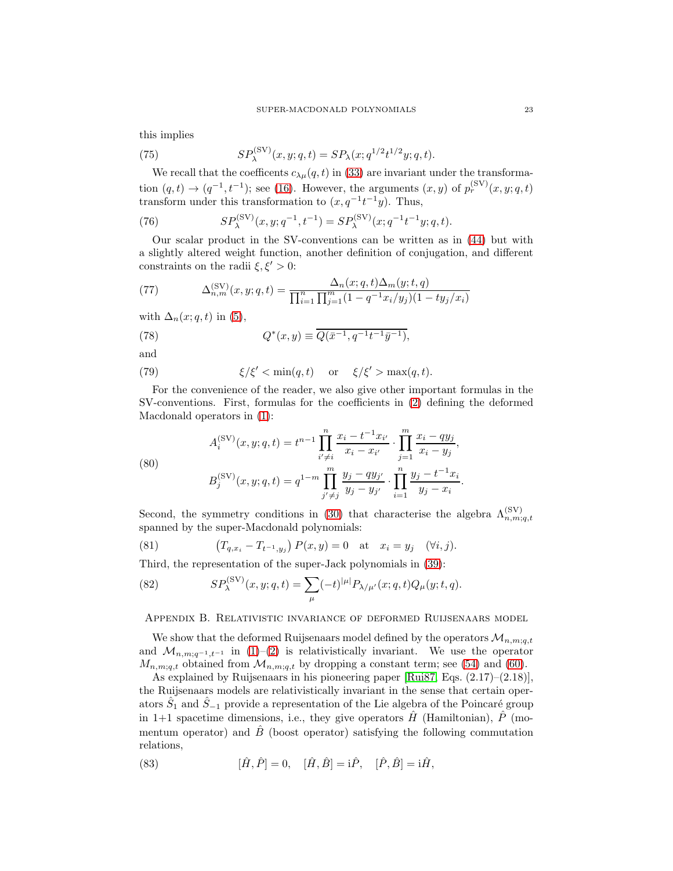this implies

(75) 
$$
SP_{\lambda}^{(\text{SV})}(x, y; q, t) = SP_{\lambda}(x; q^{1/2}t^{1/2}y; q, t).
$$

We recall that the coefficents  $c_{\lambda\mu}(q,t)$  in [\(33\)](#page-8-2) are invariant under the transformation  $(q,t) \rightarrow (q^{-1}, t^{-1})$ ; see [\(16\)](#page-6-2). However, the arguments  $(x, y)$  of  $p_r^{(\text{SV})}(x, y; q, t)$ transform under this transformation to  $(x, q^{-1}t^{-1}y)$ . Thus,

(76) 
$$
SP_{\lambda}^{(\text{SV})}(x, y; q^{-1}, t^{-1}) = SP_{\lambda}^{(\text{SV})}(x; q^{-1}t^{-1}y; q, t).
$$

Our scalar product in the SV-conventions can be written as in [\(44\)](#page-10-2) but with a slightly altered weight function, another definition of conjugation, and different constraints on the radii  $\xi, \xi' > 0$ :

(77) 
$$
\Delta_{n,m}^{(\text{SV})}(x,y;q,t) = \frac{\Delta_n(x;q,t)\Delta_m(y;t,q)}{\prod_{i=1}^n \prod_{j=1}^m (1-q^{-1}x_i/y_j)(1-ty_j/x_i)}
$$

<span id="page-22-2"></span>with  $\Delta_n(x; q, t)$  in [\(5\)](#page-2-3),

(78) 
$$
Q^*(x,y) \equiv \overline{Q(\bar{x}^{-1}, q^{-1}t^{-1}\bar{y}^{-1})},
$$

and

(79) 
$$
\xi/\xi' < \min(q, t) \quad \text{or} \quad \xi/\xi' > \max(q, t).
$$

<span id="page-22-3"></span>For the convenience of the reader, we also give other important formulas in the SV-conventions. First, formulas for the coefficients in [\(2\)](#page-2-0) defining the deformed Macdonald operators in [\(1\)](#page-1-1):

(80)  

$$
A_i^{(\text{SV})}(x, y; q, t) = t^{n-1} \prod_{i' \neq i}^{n} \frac{x_i - t^{-1} x_{i'}}{x_i - x_{i'}} \cdot \prod_{j=1}^{m} \frac{x_i - q y_j}{x_i - y_j},
$$

$$
B_j^{(\text{SV})}(x, y; q, t) = q^{1-m} \prod_{j' \neq j}^{m} \frac{y_j - q y_{j'}}{y_j - y_{j'}} \cdot \prod_{i=1}^{n} \frac{y_j - t^{-1} x_i}{y_j - x_i}
$$

Second, the symmetry conditions in [\(30\)](#page-7-7) that characterise the algebra  $\Lambda_{n,m;q,t}^{(\rm SV)}$ spanned by the super-Macdonald polynomials:

<span id="page-22-5"></span><span id="page-22-4"></span><span id="page-22-1"></span>.

(81) 
$$
(T_{q,x_i} - T_{t^{-1},y_j}) P(x, y) = 0
$$
 at  $x_i = y_j$  ( $\forall i, j$ ).

Third, the representation of the super-Jack polynomials in [\(39\)](#page-8-7):

(82) 
$$
SP_{\lambda}^{(\text{SV})}(x, y; q, t) = \sum_{\mu} (-t)^{|\mu|} P_{\lambda/\mu'}(x; q, t) Q_{\mu}(y; t, q).
$$

<span id="page-22-0"></span>Appendix B. Relativistic invariance of deformed Ruijsenaars model

We show that the deformed Ruijsenaars model defined by the operators  $\mathcal{M}_{n,m;q,t}$ and  $\mathcal{M}_{n,m;q-1,t-1}$  in [\(1\)](#page-1-1)–[\(2\)](#page-2-0) is relativistically invariant. We use the operator  $M_{n,m;q,t}$  obtained from  $\mathcal{M}_{n,m;q,t}$  by dropping a constant term; see [\(54\)](#page-13-1) and [\(60\)](#page-16-0).

As explained by Ruijsenaars in his pioneering paper [\[Rui87,](#page-28-3) Eqs. (2.17)–(2.18)], the Ruijsenaars models are relativistically invariant in the sense that certain operators  $\hat{S}_1$  and  $\hat{S}_{-1}$  provide a representation of the Lie algebra of the Poincaré group in 1+1 spacetime dimensions, i.e., they give operators  $\hat{H}$  (Hamiltonian),  $\hat{P}$  (momentum operator) and  $\hat{B}$  (boost operator) satisfying the following commutation relations,

<span id="page-22-6"></span>(83) 
$$
[\hat{H}, \hat{P}] = 0, \quad [\hat{H}, \hat{B}] = i\hat{P}, \quad [\hat{P}, \hat{B}] = i\hat{H},
$$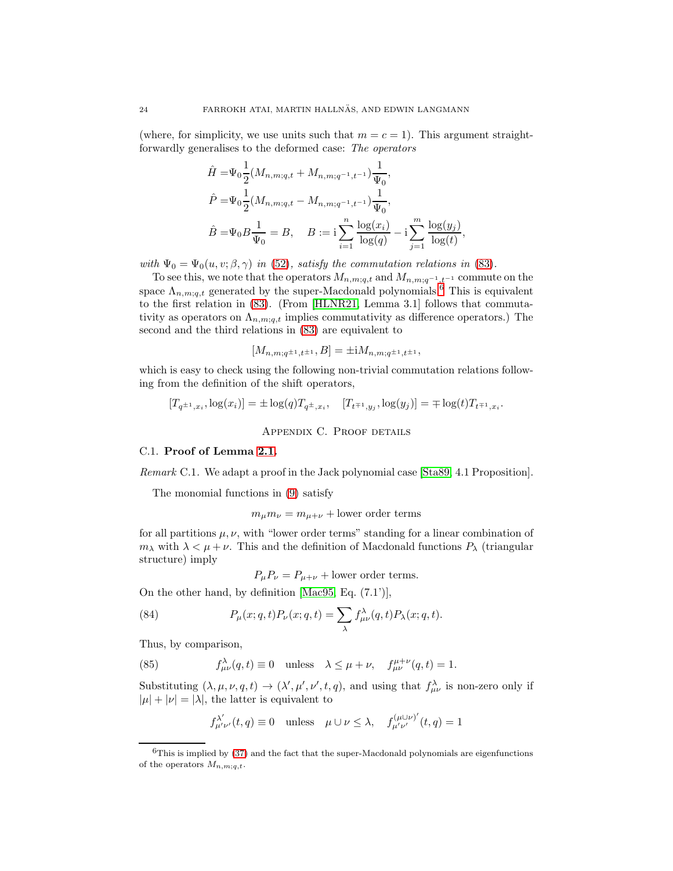(where, for simplicity, we use units such that  $m = c = 1$ ). This argument straightforwardly generalises to the deformed case: The operators

$$
\hat{H} = \Psi_0 \frac{1}{2} (M_{n,m;q,t} + M_{n,m;q-1,t-1}) \frac{1}{\Psi_0},
$$
\n
$$
\hat{P} = \Psi_0 \frac{1}{2} (M_{n,m;q,t} - M_{n,m;q-1,t-1}) \frac{1}{\Psi_0},
$$
\n
$$
\hat{B} = \Psi_0 B \frac{1}{\Psi_0} = B, \quad B := \mathbf{i} \sum_{i=1}^n \frac{\log(x_i)}{\log(q)} - \mathbf{i} \sum_{j=1}^m \frac{\log(y_j)}{\log(t)},
$$

with  $\Psi_0 = \Psi_0(u, v; \beta, \gamma)$  in [\(52\)](#page-12-2), satisfy the commutation relations in [\(83\)](#page-22-6).

To see this, we note that the operators  $M_{n,m;q,t}$  and  $M_{n,m;q-1,t-1}$  commute on the space  $\Lambda_{n,m;q,t}$  generated by the super-Macdonald polynomials.<sup>[6](#page-23-2)</sup> This is equivalent to the first relation in [\(83\)](#page-22-6). (From [\[HLNR21,](#page-28-20) Lemma 3.1] follows that commutativity as operators on  $\Lambda_{n,m;q,t}$  implies commutativity as difference operators.) The second and the third relations in [\(83\)](#page-22-6) are equivalent to

$$
[M_{n,m;q^{\pm 1},t^{\pm 1}},B]=\pm iM_{n,m;q^{\pm 1},t^{\pm 1}},
$$

which is easy to check using the following non-trivial commutation relations following from the definition of the shift operators,

$$
[T_{q^{\pm 1},x_i}, \log(x_i)] = \pm \log(q) T_{q^{\pm},x_i}, \quad [T_{t^{\mp 1},y_j}, \log(y_j)] = \mp \log(t) T_{t^{\mp 1},x_i}.
$$

Appendix C. Proof details

# <span id="page-23-1"></span><span id="page-23-0"></span>C.1. Proof of Lemma [2.1.](#page-6-0)

Remark C.1. We adapt a proof in the Jack polynomial case [\[Sta89,](#page-28-21) 4.1 Proposition].

The monomial functions in [\(9\)](#page-5-3) satisfy

 $m_{\mu}m_{\nu} = m_{\mu+\nu} +$ lower order terms

for all partitions  $\mu, \nu$ , with "lower order terms" standing for a linear combination of  $m_{\lambda}$  with  $\lambda < \mu + \nu$ . This and the definition of Macdonald functions  $P_{\lambda}$  (triangular structure) imply

<span id="page-23-4"></span><span id="page-23-3"></span> $P_{\mu}P_{\nu} = P_{\mu+\nu} +$  lower order terms.

On the other hand, by definition [\[Mac95,](#page-28-2) Eq. (7.1')],

(84) 
$$
P_{\mu}(x;q,t)P_{\nu}(x;q,t) = \sum_{\lambda} f^{\lambda}_{\mu\nu}(q,t)P_{\lambda}(x;q,t).
$$

Thus, by comparison,

(85) 
$$
f^{\lambda}_{\mu\nu}(q,t) \equiv 0 \quad \text{unless} \quad \lambda \le \mu + \nu, \quad f^{\mu+\nu}_{\mu\nu}(q,t) = 1.
$$

Substituting  $(\lambda, \mu, \nu, q, t) \to (\lambda', \mu', \nu', t, q)$ , and using that  $f_{\mu\nu}^{\lambda}$  is non-zero only if  $|\mu| + |\nu| = |\lambda|$ , the latter is equivalent to

$$
f_{\mu'\nu'}^{\lambda'}(t,q) \equiv 0 \quad \text{unless} \quad \mu \cup \nu \le \lambda, \quad f_{\mu'\nu'}^{(\mu \cup \nu)'}(t,q) = 1
$$

<span id="page-23-2"></span> ${}^{6}$ This is implied by [\(37\)](#page-8-6) and the fact that the super-Macdonald polynomials are eigenfunctions of the operators  $M_{n,m;q,t}$ .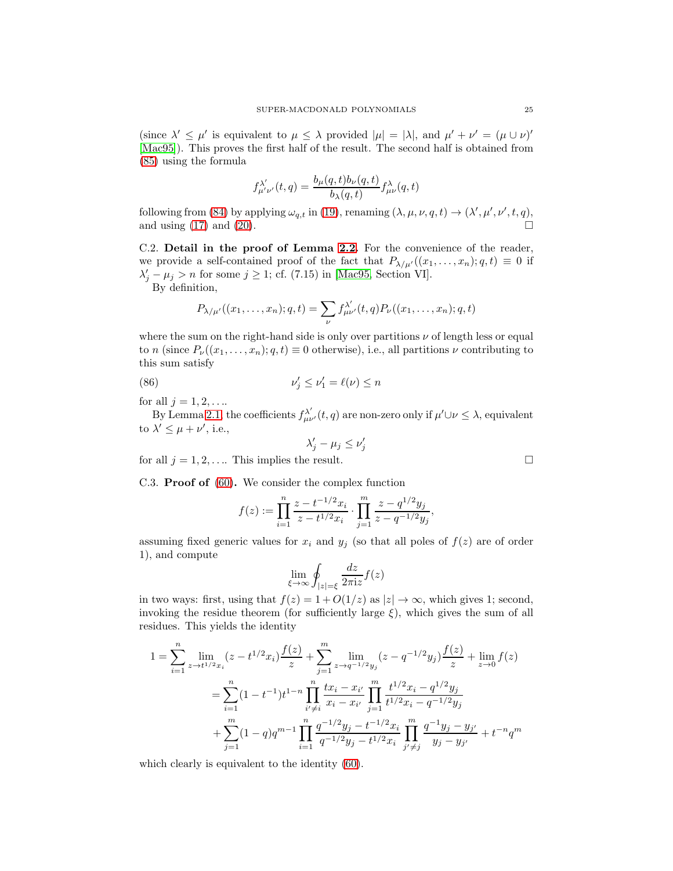(since  $\lambda' \leq \mu'$  is equivalent to  $\mu \leq \lambda$  provided  $|\mu| = |\lambda|$ , and  $\mu' + \nu' = (\mu \cup \nu)'$ [\[Mac95\]](#page-28-2)). This proves the first half of the result. The second half is obtained from [\(85\)](#page-23-3) using the formula

$$
f^{\lambda'}_{\mu'\nu'}(t,q) = \frac{b_\mu(q,t)b_\nu(q,t)}{b_\lambda(q,t)} f^\lambda_{\mu\nu}(q,t)
$$

following from [\(84\)](#page-23-4) by applying  $\omega_{q,t}$  in [\(19\)](#page-6-9), renaming  $(\lambda, \mu, \nu, q, t) \rightarrow (\lambda', \mu', \nu', t, q)$ , and using [\(17\)](#page-6-8) and [\(20\)](#page-6-4).

<span id="page-24-0"></span>C.2. Detail in the proof of Lemma [2.2.](#page-8-0) For the convenience of the reader, we provide a self-contained proof of the fact that  $P_{\lambda/\mu'}((x_1,\ldots,x_n);q,t)\equiv 0$  if  $\lambda'_j - \mu_j > n$  for some  $j \ge 1$ ; cf. (7.15) in [\[Mac95,](#page-28-2) Section VI].

By definition,

$$
P_{\lambda/\mu'}((x_1,\ldots,x_n);q,t) = \sum_{\nu} f_{\mu\nu'}^{\lambda'}(t,q) P_{\nu}((x_1,\ldots,x_n);q,t)
$$

where the sum on the right-hand side is only over partitions  $\nu$  of length less or equal to n (since  $P_{\nu}((x_1,\ldots,x_n);q,t)\equiv 0$  otherwise), i.e., all partitions  $\nu$  contributing to this sum satisfy

(86) 
$$
\nu'_j \leq \nu'_1 = \ell(\nu) \leq n
$$

for all  $j = 1, 2, \ldots$ 

By Lemma [2.1,](#page-6-0) the coefficients  $f_{\mu\nu}^{\lambda'}(t,q)$  are non-zero only if  $\mu'\cup\nu\leq\lambda$ , equivalent to  $\lambda' \leq \mu + \nu'$ , i.e.,

$$
\lambda'_j - \mu_j \le \nu'_j
$$

<span id="page-24-1"></span>for all  $j = 1, 2, \ldots$  This implies the result.

C.3. Proof of [\(60\)](#page-16-0). We consider the complex function

$$
f(z) := \prod_{i=1}^{n} \frac{z - t^{-1/2}x_i}{z - t^{1/2}x_i} \cdot \prod_{j=1}^{m} \frac{z - q^{1/2}y_j}{z - q^{-1/2}y_j},
$$

assuming fixed generic values for  $x_i$  and  $y_j$  (so that all poles of  $f(z)$  are of order 1), and compute

$$
\lim_{\xi \to \infty} \oint_{|z| = \xi} \frac{dz}{2\pi i z} f(z)
$$

in two ways: first, using that  $f(z) = 1 + O(1/z)$  as  $|z| \to \infty$ , which gives 1; second, invoking the residue theorem (for sufficiently large  $\xi$ ), which gives the sum of all residues. This yields the identity

$$
1 = \sum_{i=1}^{n} \lim_{z \to t^{1/2} x_i} (z - t^{1/2} x_i) \frac{f(z)}{z} + \sum_{j=1}^{m} \lim_{z \to q^{-1/2} y_j} (z - q^{-1/2} y_j) \frac{f(z)}{z} + \lim_{z \to 0} f(z)
$$
  

$$
= \sum_{i=1}^{n} (1 - t^{-1}) t^{1-n} \prod_{i' \neq i}^{n} \frac{tx_i - x_{i'}}{x_i - x_{i'}} \prod_{j=1}^{m} \frac{t^{1/2} x_i - q^{1/2} y_j}{t^{1/2} x_i - q^{-1/2} y_j}
$$
  

$$
+ \sum_{j=1}^{m} (1 - q) q^{m-1} \prod_{i=1}^{n} \frac{q^{-1/2} y_j - t^{-1/2} x_i}{q^{-1/2} y_j - t^{1/2} x_i} \prod_{j' \neq j}^{m} \frac{q^{-1} y_j - y_{j'}}{y_j - y_{j'}} + t^{-n} q^m
$$

which clearly is equivalent to the identity [\(60\)](#page-16-0).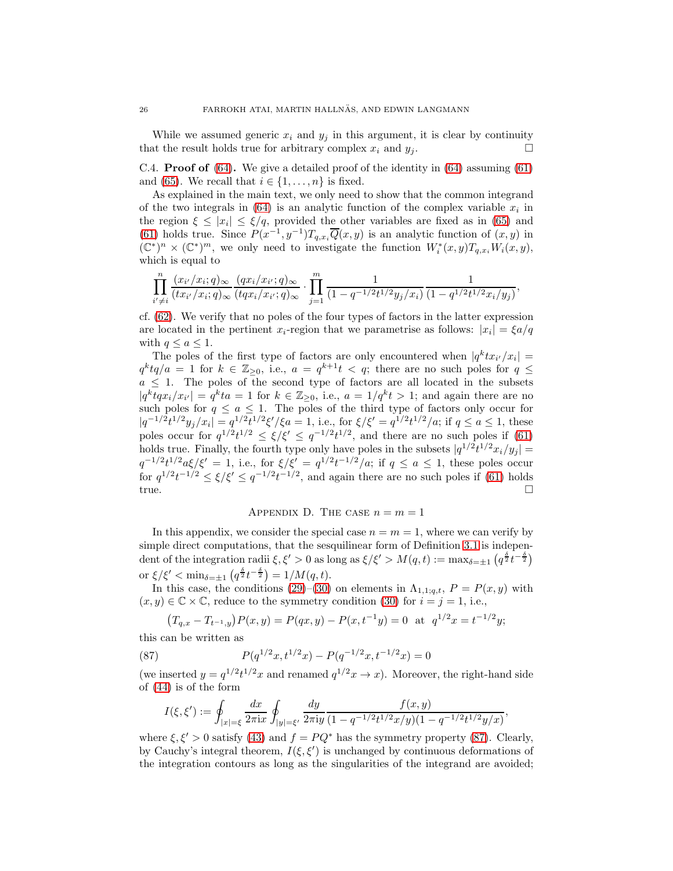While we assumed generic  $x_i$  and  $y_j$  in this argument, it is clear by continuity that the result holds true for arbitrary complex  $x_i$  and  $y_j$ .

<span id="page-25-0"></span>C.4. **Proof of** [\(64\)](#page-17-1). We give a detailed proof of the identity in [\(64\)](#page-17-1) assuming [\(61\)](#page-16-2) and [\(65\)](#page-17-3). We recall that  $i \in \{1, \ldots, n\}$  is fixed.

As explained in the main text, we only need to show that the common integrand of the two integrals in  $(64)$  is an analytic function of the complex variable  $x_i$  in the region  $\xi \leq |x_i| \leq \xi/q$ , provided the other variables are fixed as in [\(65\)](#page-17-3) and [\(61\)](#page-16-2) holds true. Since  $P(x^{-1}, y^{-1})T_{q,x_i}\overline{Q}(x, y)$  is an analytic function of  $(x, y)$  in  $(\mathbb{C}^*)^n \times (\mathbb{C}^*)^m$ , we only need to investigate the function  $W_i^*(x, y)T_{q,x_i}W_i(x, y)$ , which is equal to

$$
\prod_{i'\neq i}^n\frac{(x_{i'}/x_i;q)_\infty}{(tx_{i'}/x_i;q)_\infty}\frac{(qx_i/x_{i'};q)_\infty}{(tqx_i/x_{i'};q)_\infty}\cdot \prod_{j=1}^m\frac{1}{(1-q^{-1/2}t^{1/2}y_j/x_i)}\frac{1}{(1-q^{1/2}t^{1/2}x_i/y_j)},
$$

cf. [\(62\)](#page-16-4). We verify that no poles of the four types of factors in the latter expression are located in the pertinent  $x_i$ -region that we parametrise as follows:  $|x_i| = \frac{\xi a}{q}$ with  $q \leq a \leq 1$ .

The poles of the first type of factors are only encountered when  $|q^k t x_{i'} / x_i|$  =  $q^k t q/a = 1$  for  $k \in \mathbb{Z}_{\geq 0}$ , i.e.,  $a = q^{k+1} t < q$ ; there are no such poles for  $q \leq$  $a \leq 1$ . The poles of the second type of factors are all located in the subsets  $|q^k t q x_i/x_{i'}| = q^k t a = 1$  for  $k \in \mathbb{Z}_{\geq 0}$ , i.e.,  $a = 1/q^k t > 1$ ; and again there are no such poles for  $q \leq a \leq 1$ . The poles of the third type of factors only occur for  $|q^{-1/2}t^{1/2}y_j/x_i|=q^{1/2}t^{1/2}\xi'/\xi a=1$ , i.e., for  $\xi/\xi'=q^{1/2}t^{1/2}/a$ ; if  $q\leq a\leq 1$ , these poles occur for  $q^{1/2}t^{1/2} \leq \xi/\xi' \leq q^{-1/2}t^{1/2}$ , and there are no such poles if [\(61\)](#page-16-2) holds true. Finally, the fourth type only have poles in the subsets  $|q^{1/2}t^{1/2}x_i/y_j|$  =  $q^{-1/2}t^{1/2}a\xi/\xi' = 1$ , i.e., for  $\xi/\xi' = q^{1/2}t^{-1/2}/a$ ; if  $q \le a \le 1$ , these poles occur for  $q^{1/2}t^{-1/2} \leq \xi/\xi' \leq q^{-1/2}t^{-1/2}$ , and again there are no such poles if [\(61\)](#page-16-2) holds true.

# APPENDIX D. THE CASE  $n = m = 1$

<span id="page-25-1"></span>In this appendix, we consider the special case  $n = m = 1$ , where we can verify by simple direct computations, that the sesquilinear form of Definition [3.1](#page-10-3) is independent of the integration radii  $\xi, \xi' > 0$  as long as  $\xi/\xi' > M(q, t) := \max_{\delta = \pm 1} (q^{\frac{\delta}{2}} t^{-\frac{\delta}{2}})$ or  $\xi/\xi' < \min_{\delta=\pm 1} \left( q^{\frac{\delta}{2}} t^{-\frac{\delta}{2}} \right) = 1/M(q, t).$ 

In this case, the conditions [\(29\)](#page-7-6)–[\(30\)](#page-7-7) on elements in  $\Lambda_{1,1;q,t}$ ,  $P = P(x, y)$  with  $(x, y) \in \mathbb{C} \times \mathbb{C}$ , reduce to the symmetry condition [\(30\)](#page-7-7) for  $i = j = 1$ , i.e.,

<span id="page-25-2"></span>
$$
(T_{q,x} - T_{t^{-1},y})P(x,y) = P(qx,y) - P(x,t^{-1}y) = 0
$$
 at  $q^{1/2}x = t^{-1/2}y;$ 

this can be written as

(87) 
$$
P(q^{1/2}x, t^{1/2}x) - P(q^{-1/2}x, t^{-1/2}x) = 0
$$

(we inserted  $y = q^{1/2}t^{1/2}x$  and renamed  $q^{1/2}x \to x$ ). Moreover, the right-hand side of [\(44\)](#page-10-2) is of the form

$$
I(\xi, \xi') := \oint_{|x| = \xi} \frac{dx}{2\pi i x} \oint_{|y| = \xi'} \frac{dy}{2\pi i y} \frac{f(x, y)}{(1 - q^{-1/2} t^{1/2} x/y)(1 - q^{-1/2} t^{1/2} y/x)},
$$

where  $\xi, \xi' > 0$  satisfy [\(43\)](#page-10-1) and  $f = PQ^*$  has the symmetry property [\(87\)](#page-25-2). Clearly, by Cauchy's integral theorem,  $I(\xi, \xi')$  is unchanged by continuous deformations of the integration contours as long as the singularities of the integrand are avoided;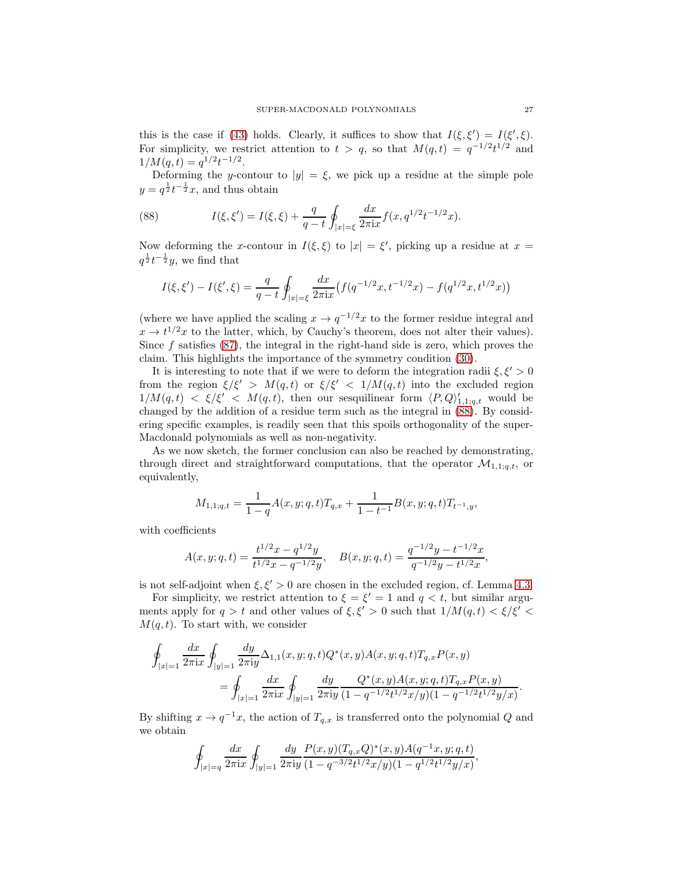this is the case if [\(43\)](#page-10-1) holds. Clearly, it suffices to show that  $I(\xi, \xi') = I(\xi', \xi)$ . For simplicity, we restrict attention to  $t > q$ , so that  $M(q,t) = q^{-1/2}t^{1/2}$  and  $1/M(q,t) = q^{1/2}t^{-1/2}.$ 

<span id="page-26-0"></span>Deforming the y-contour to  $|y| = \xi$ , we pick up a residue at the simple pole  $y = q^{\frac{1}{2}}t^{-\frac{1}{2}}x$ , and thus obtain

(88) 
$$
I(\xi, \xi') = I(\xi, \xi) + \frac{q}{q-t} \oint_{|x|=\xi} \frac{dx}{2\pi ix} f(x, q^{1/2}t^{-1/2}x).
$$

Now deforming the x-contour in  $I(\xi, \xi)$  to  $|x| = \xi'$ , picking up a residue at  $x =$  $q^{\frac{1}{2}}t^{-\frac{1}{2}}y$ , we find that

$$
I(\xi, \xi') - I(\xi', \xi) = \frac{q}{q - t} \oint_{|x| = \xi} \frac{dx}{2\pi ix} \left( f(q^{-1/2}x, t^{-1/2}x) - f(q^{1/2}x, t^{1/2}x) \right)
$$

(where we have applied the scaling  $x \to q^{-1/2}x$  to the former residue integral and  $x \to t^{1/2}x$  to the latter, which, by Cauchy's theorem, does not alter their values). Since  $f$  satisfies  $(87)$ , the integral in the right-hand side is zero, which proves the claim. This highlights the importance of the symmetry condition [\(30\)](#page-7-7).

It is interesting to note that if we were to deform the integration radii  $\xi, \xi' > 0$ from the region  $\xi/\xi' > M(q,t)$  or  $\xi/\xi' < 1/M(q,t)$  into the excluded region  $1/M(q,t) < \xi/\xi' < M(q,t)$ , then our sesquilinear form  $\langle P,Q \rangle'_{1,1;q,t}$  would be changed by the addition of a residue term such as the integral in [\(88\)](#page-26-0). By considering specific examples, is readily seen that this spoils orthogonality of the super-Macdonald polynomials as well as non-negativity.

As we now sketch, the former conclusion can also be reached by demonstrating, through direct and straightforward computations, that the operator  $\mathcal{M}_{1,1;q,t}$ , or equivalently,

$$
M_{1,1;q,t} = \frac{1}{1-q} A(x,y;q,t) T_{q,x} + \frac{1}{1-t^{-1}} B(x,y;q,t) T_{t^{-1},y},
$$

with coefficients

$$
A(x, y; q, t) = \frac{t^{1/2}x - q^{1/2}y}{t^{1/2}x - q^{-1/2}y}, \quad B(x, y; q, t) = \frac{q^{-1/2}y - t^{-1/2}x}{q^{-1/2}y - t^{1/2}x},
$$

is not self-adjoint when  $\xi, \xi' > 0$  are chosen in the excluded region, cf. Lemma [4.3.](#page-16-3)

For simplicity, we restrict attention to  $\xi = \xi' = 1$  and  $q < t$ , but similar arguments apply for  $q > t$  and other values of  $\xi, \xi' > 0$  such that  $1/M(q, t) < \xi/\xi' <$  $M(q,t)$ . To start with, we consider

$$
\begin{split} \oint_{|x|=1}\frac{dx}{2\pi\mathrm{i} x}\oint_{|y|=1}\frac{dy}{2\pi\mathrm{i} y}\Delta_{1,1}(x,y;q,t)Q^*(x,y)A(x,y;q,t)T_{q,x}P(x,y)\\ =\oint_{|x|=1}\frac{dx}{2\pi\mathrm{i} x}\oint_{|y|=1}\frac{dy}{2\pi\mathrm{i} y}\frac{Q^*(x,y)A(x,y;q,t)T_{q,x}P(x,y)}{(1-q^{-1/2}t^{1/2}x/y)(1-q^{-1/2}t^{1/2}y/x)}. \end{split}
$$

By shifting  $x \to q^{-1}x$ , the action of  $T_{q,x}$  is transferred onto the polynomial Q and we obtain

$$
\oint_{|x|=q} \frac{dx}{2\pi {\rm i} x} \oint_{|y|=1} \frac{dy}{2\pi {\rm i} y} \frac{P(x,y) (T_{q,x}Q)^*(x,y) A(q^{-1}x,y;q,t)}{(1-q^{-3/2}t^{1/2}x/y)(1-q^{1/2}t^{1/2}y/x)},
$$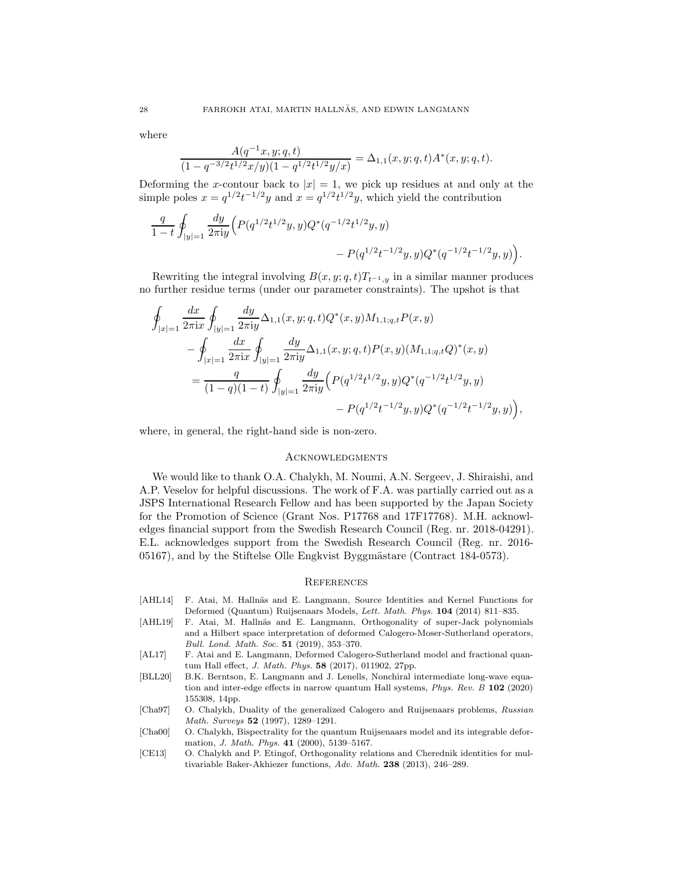where

$$
\frac{A(q^{-1}x,y;q,t)}{(1-q^{-3/2}t^{1/2}x/y)(1-q^{1/2}t^{1/2}y/x)}=\Delta_{1,1}(x,y;q,t)A^*(x,y;q,t).
$$

Deforming the x-contour back to  $|x| = 1$ , we pick up residues at and only at the simple poles  $x = q^{1/2}t^{-1/2}y$  and  $x = q^{1/2}t^{1/2}y$ , which yield the contribution

$$
\label{eq:4.14} \begin{split} \frac{q}{1-t}\oint_{|y|=1}\frac{dy}{2\pi\mathrm{i} y}\Bigl(P(q^{1/2}t^{1/2}y,y)Q^*(q^{-1/2}t^{1/2}y,y)\\ &\qquad\qquad -P(q^{1/2}t^{-1/2}y,y)Q^*(q^{-1/2}t^{-1/2}y,y)\Bigr). \end{split}
$$

Rewriting the integral involving  $B(x, y; q, t)T_{t^{-1}, y}$  in a similar manner produces no further residue terms (under our parameter constraints). The upshot is that

$$
\oint_{|x|=1} \frac{dx}{2\pi ix} \oint_{|y|=1} \frac{dy}{2\pi iy} \Delta_{1,1}(x,y;q,t) Q^*(x,y) M_{1,1;q,t} P(x,y)
$$
\n
$$
- \oint_{|x|=1} \frac{dx}{2\pi ix} \oint_{|y|=1} \frac{dy}{2\pi iy} \Delta_{1,1}(x,y;q,t) P(x,y) (M_{1,1;q,t} Q)^*(x,y)
$$
\n
$$
= \frac{q}{(1-q)(1-t)} \oint_{|y|=1} \frac{dy}{2\pi iy} \Big( P(q^{1/2}t^{1/2}y,y) Q^*(q^{-1/2}t^{1/2}y,y) - P(q^{1/2}t^{-1/2}y,y) Q^*(q^{-1/2}t^{-1/2}y,y) \Big),
$$

where, in general, the right-hand side is non-zero.

### <span id="page-27-0"></span>Acknowledgments

We would like to thank O.A. Chalykh, M. Noumi, A.N. Sergeev, J. Shiraishi, and A.P. Veselov for helpful discussions. The work of F.A. was partially carried out as a JSPS International Research Fellow and has been supported by the Japan Society for the Promotion of Science (Grant Nos. P17768 and 17F17768). M.H. acknowledges financial support from the Swedish Research Council (Reg. nr. 2018-04291). E.L. acknowledges support from the Swedish Research Council (Reg. nr. 2016- 05167), and by the Stiftelse Olle Engkvist Byggmästare (Contract 184-0573).

#### <span id="page-27-1"></span>**REFERENCES**

- <span id="page-27-7"></span>[AHL14] F. Atai, M. Hallnäs and E. Langmann, Source Identities and Kernel Functions for Deformed (Quantum) Ruijsenaars Models, Lett. Math. Phys. 104 (2014) 811–835.
- <span id="page-27-6"></span>[AHL19] F. Atai, M. Hallnäs and E. Langmann, Orthogonality of super-Jack polynomials and a Hilbert space interpretation of deformed Calogero-Moser-Sutherland operators, Bull. Lond. Math. Soc. 51 (2019), 353–370.
- <span id="page-27-2"></span>[AL17] F. Atai and E. Langmann, Deformed Calogero-Sutherland model and fractional quantum Hall effect, J. Math. Phys. 58 (2017), 011902, 27pp.
- <span id="page-27-3"></span>[BLL20] B.K. Berntson, E. Langmann and J. Lenells, Nonchiral intermediate long-wave equation and inter-edge effects in narrow quantum Hall systems, Phys. Rev. B 102 (2020) 155308, 14pp.
- <span id="page-27-4"></span>[Cha97] O. Chalykh, Duality of the generalized Calogero and Ruijsenaars problems, Russian Math. Surveys 52 (1997), 1289–1291.
- <span id="page-27-5"></span>[Cha00] O. Chalykh, Bispectrality for the quantum Ruijsenaars model and its integrable deformation, J. Math. Phys. 41 (2000), 5139–5167.
- [CE13] O. Chalykh and P. Etingof, Orthogonality relations and Cherednik identities for multivariable Baker-Akhiezer functions, Adv. Math. 238 (2013), 246–289.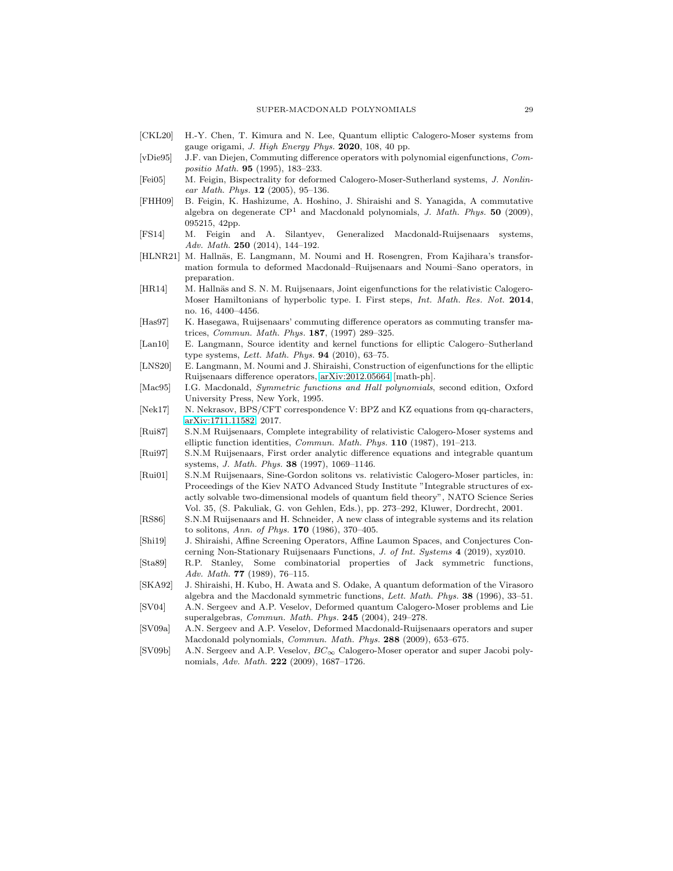- <span id="page-28-19"></span>[CKL20] H.-Y. Chen, T. Kimura and N. Lee, Quantum elliptic Calogero-Moser systems from gauge origami, J. High Energy Phys. 2020, 108, 40 pp.
- <span id="page-28-9"></span>[vDie95] J.F. van Diejen, Commuting difference operators with polynomial eigenfunctions, Compositio Math. 95 (1995), 183–233.
- <span id="page-28-6"></span>[Fei05] M. Feigin, Bispectrality for deformed Calogero-Moser-Sutherland systems, J. Nonlinear Math. Phys.  $12$  (2005), 95-136.
- <span id="page-28-16"></span>[FHH09] B. Feigin, K. Hashizume, A. Hoshino, J. Shiraishi and S. Yanagida, A commutative algebra on degenerate  $\mathbb{CP}^1$  and Macdonald polynomials, J. Math. Phys. 50 (2009), 095215, 42pp.
- <span id="page-28-8"></span>[FS14] M. Feigin and A. Silantyev, Generalized Macdonald-Ruijsenaars systems, Adv. Math. 250 (2014), 144–192.
- <span id="page-28-20"></span>[HLNR21] M. Hallnäs, E. Langmann, M. Noumi and H. Rosengren, From Kajihara's transformation formula to deformed Macdonald–Ruijsenaars and Noumi–Sano operators, in preparation.
- <span id="page-28-12"></span>[HR14] M. Hallnäs and S. N. M. Ruijsenaars, Joint eigenfunctions for the relativistic Calogero-Moser Hamiltonians of hyperbolic type. I. First steps, Int. Math. Res. Not. 2014, no. 16, 4400–4456.
- <span id="page-28-10"></span>[Has97] K. Hasegawa, Ruijsenaars' commuting difference operators as commuting transfer matrices, Commun. Math. Phys. 187, (1997) 289–325.
- <span id="page-28-17"></span>[Lan10] E. Langmann, Source identity and kernel functions for elliptic Calogero–Sutherland type systems, Lett. Math. Phys. 94 (2010), 63–75.
- <span id="page-28-14"></span>[LNS20] E. Langmann, M. Noumi and J. Shiraishi, Construction of eigenfunctions for the elliptic Ruijsenaars difference operators, [arXiv:2012.05664](http://arxiv.org/abs/2012.05664) [math-ph].
- <span id="page-28-2"></span>[Mac95] I.G. Macdonald, Symmetric functions and Hall polynomials, second edition, Oxford University Press, New York, 1995.
- <span id="page-28-18"></span>[Nek17] N. Nekrasov, BPS/CFT correspondence V: BPZ and KZ equations from qq-characters, [arXiv:1711.11582,](http://arxiv.org/abs/1711.11582) 2017.
- <span id="page-28-3"></span>[Rui87] S.N.M Ruijsenaars, Complete integrability of relativistic Calogero-Moser systems and elliptic function identities, Commun. Math. Phys. 110 (1987), 191–213.
- <span id="page-28-11"></span>[Rui97] S.N.M Ruijsenaars, First order analytic difference equations and integrable quantum systems, J. Math. Phys. 38 (1997), 1069–1146.
- <span id="page-28-5"></span>[Rui01] S.N.M Ruijsenaars, Sine-Gordon solitons vs. relativistic Calogero-Moser particles, in: Proceedings of the Kiev NATO Advanced Study Institute "Integrable structures of exactly solvable two-dimensional models of quantum field theory", NATO Science Series Vol. 35, (S. Pakuliak, G. von Gehlen, Eds.), pp. 273–292, Kluwer, Dordrecht, 2001.
- <span id="page-28-4"></span>[RS86] S.N.M Ruijsenaars and H. Schneider, A new class of integrable systems and its relation to solitons, Ann. of Phys. 170 (1986), 370–405.
- <span id="page-28-13"></span>[Shi19] J. Shiraishi, Affine Screening Operators, Affine Laumon Spaces, and Conjectures Concerning Non-Stationary Ruijsenaars Functions, J. of Int. Systems 4 (2019), xyz010.
- <span id="page-28-21"></span>[Sta89] R.P. Stanley, Some combinatorial properties of Jack symmetric functions, Adv. Math. 77 (1989), 76–115.
- <span id="page-28-15"></span>[SKA92] J. Shiraishi, H. Kubo, H. Awata and S. Odake, A quantum deformation of the Virasoro algebra and the Macdonald symmetric functions, Lett. Math. Phys. 38 (1996), 33–51.
- <span id="page-28-1"></span>[SV04] A.N. Sergeev and A.P. Veselov, Deformed quantum Calogero-Moser problems and Lie superalgebras, Commun. Math. Phys. 245 (2004), 249–278.
- <span id="page-28-0"></span>[SV09a] A.N. Sergeev and A.P. Veselov, Deformed Macdonald-Ruijsenaars operators and super Macdonald polynomials, Commun. Math. Phys. 288 (2009), 653–675.
- <span id="page-28-7"></span>[SV09b] A.N. Sergeev and A.P. Veselov, BC∞ Calogero-Moser operator and super Jacobi polynomials, Adv. Math. 222 (2009), 1687–1726.